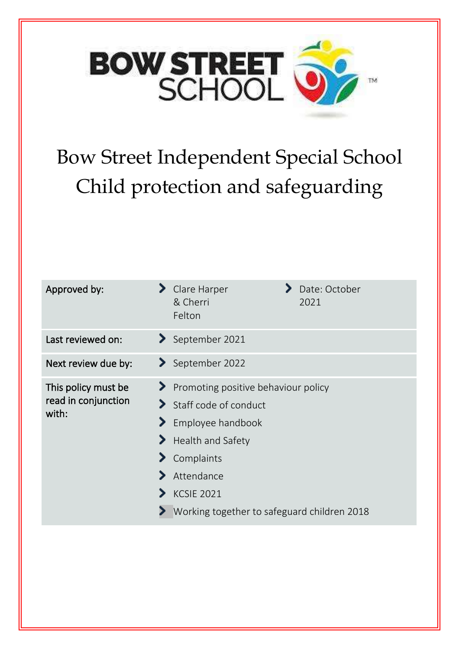

# Bow Street Independent Special School Child protection and safeguarding

| Approved by:                                        |   | Clare Harper<br>& Cherri<br>Felton                                                                                                                                                                                                                            | Date: October<br>2021 |
|-----------------------------------------------------|---|---------------------------------------------------------------------------------------------------------------------------------------------------------------------------------------------------------------------------------------------------------------|-----------------------|
| Last reviewed on:                                   |   | September 2021                                                                                                                                                                                                                                                |                       |
| Next review due by:                                 |   | September 2022                                                                                                                                                                                                                                                |                       |
| This policy must be<br>read in conjunction<br>with: | ⋗ | > Promoting positive behaviour policy<br>$\blacktriangleright$ Staff code of conduct<br>Employee handbook<br><b>Health and Safety</b><br>$\blacktriangleright$ Complaints<br>Attendance<br><b>KCSIE 2021</b><br>> Working together to safeguard children 2018 |                       |
|                                                     |   |                                                                                                                                                                                                                                                               |                       |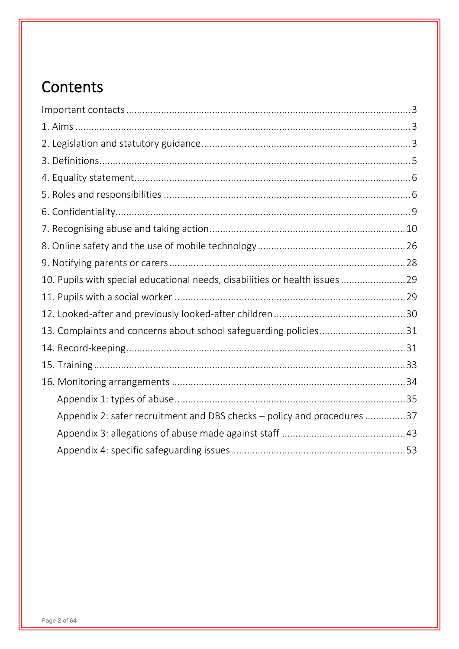# Contents

| 10. Pupils with special educational needs, disabilities or health issues  29 |  |
|------------------------------------------------------------------------------|--|
|                                                                              |  |
|                                                                              |  |
| 13. Complaints and concerns about school safeguarding policies31             |  |
|                                                                              |  |
|                                                                              |  |
|                                                                              |  |
|                                                                              |  |
| Appendix 2: safer recruitment and DBS checks - policy and procedures 37      |  |
|                                                                              |  |
|                                                                              |  |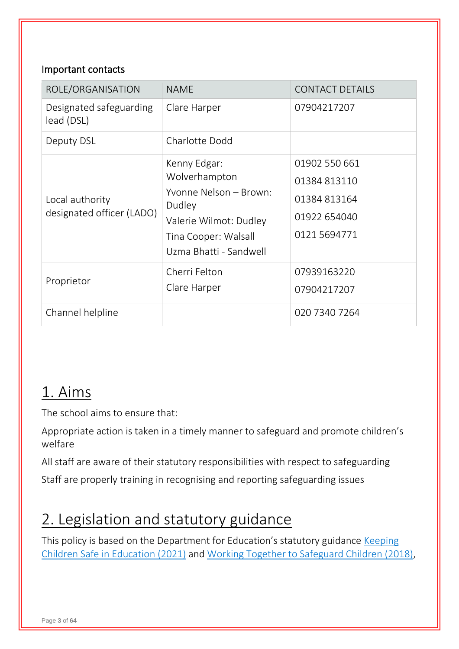#### <span id="page-2-0"></span>Important contacts

| ROLE/ORGANISATION                            | <b>NAME</b>                                                                                                                                   | <b>CONTACT DETAILS</b>                                                       |
|----------------------------------------------|-----------------------------------------------------------------------------------------------------------------------------------------------|------------------------------------------------------------------------------|
| Designated safeguarding<br>lead (DSL)        | Clare Harper                                                                                                                                  | 07904217207                                                                  |
| Deputy DSL                                   | Charlotte Dodd                                                                                                                                |                                                                              |
| Local authority<br>designated officer (LADO) | Kenny Edgar:<br>Wolverhampton<br>Yvonne Nelson - Brown:<br>Dudley<br>Valerie Wilmot: Dudley<br>Tina Cooper: Walsall<br>Uzma Bhatti - Sandwell | 01902 550 661<br>01384 813110<br>01384 813164<br>01922 654040<br>01215694771 |
| Proprietor                                   | Cherri Felton<br>Clare Harper                                                                                                                 | 07939163220<br>07904217207                                                   |
| Channel helpline                             |                                                                                                                                               | 020 7340 7264                                                                |

#### <span id="page-2-1"></span>1. Aims

The school aims to ensure that:

Appropriate action is taken in a timely manner to safeguard and promote children's welfare

All staff are aware of their statutory responsibilities with respect to safeguarding

Staff are properly training in recognising and reporting safeguarding issues

#### <span id="page-2-2"></span>2. Legislation and statutory guidance

This policy is based on the Department for Education's statutory guidance [Keeping](https://www.gov.uk/government/publications/keeping-children-safe-in-education--2)  [Children Safe in Education \(2021\)](https://www.gov.uk/government/publications/keeping-children-safe-in-education--2) and [Working Together to Safeguard Children \(2018\),](https://www.gov.uk/government/publications/working-together-to-safeguard-children--2)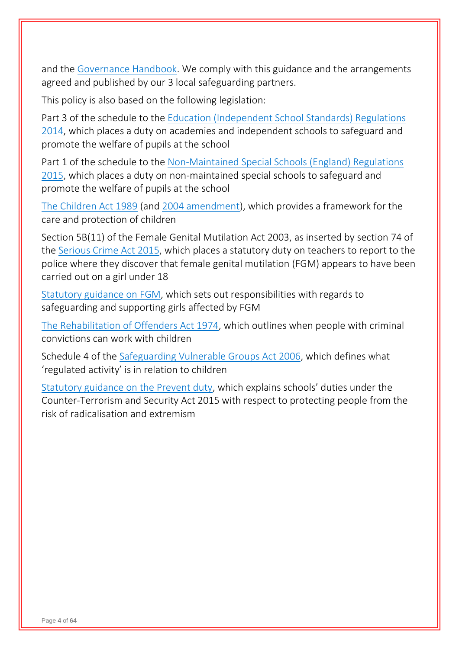and the [Governance Handbook.](https://www.gov.uk/government/publications/governance-handbook) We comply with this guidance and the arrangements agreed and published by our 3 local safeguarding partners.

This policy is also based on the following legislation:

Part 3 of the schedule to the [Education \(Independent School Standards\) Regulations](http://www.legislation.gov.uk/uksi/2014/3283/schedule/part/3/made)  [2014,](http://www.legislation.gov.uk/uksi/2014/3283/schedule/part/3/made) which places a duty on academies and independent schools to safeguard and promote the welfare of pupils at the school

Part 1 of the schedule to the [Non-Maintained Special Schools \(England\) Regulations](http://www.legislation.gov.uk/uksi/2015/728/schedule/made)  [2015,](http://www.legislation.gov.uk/uksi/2015/728/schedule/made) which places a duty on non-maintained special schools to safeguard and promote the welfare of pupils at the school

[The Children Act 1989](http://www.legislation.gov.uk/ukpga/1989/41) (and [2004 amendment\)](http://www.legislation.gov.uk/ukpga/2004/31/contents), which provides a framework for the care and protection of children

Section 5B(11) of the Female Genital Mutilation Act 2003, as inserted by section 74 of the [Serious Crime Act 2015,](http://www.legislation.gov.uk/ukpga/2015/9/part/5/crossheading/female-genital-mutilation) which places a statutory duty on teachers to report to the police where they discover that female genital mutilation (FGM) appears to have been carried out on a girl under 18

[Statutory guidance on FGM,](https://www.gov.uk/government/publications/multi-agency-statutory-guidance-on-female-genital-mutilation) which sets out responsibilities with regards to safeguarding and supporting girls affected by FGM

[The Rehabilitation of Offenders Act 1974,](http://www.legislation.gov.uk/ukpga/1974/53) which outlines when people with criminal convictions can work with children

Schedule 4 of the [Safeguarding Vulnerable Groups Act 2006,](http://www.legislation.gov.uk/ukpga/2006/47/schedule/4) which defines what 'regulated activity' is in relation to children

[Statutory guidance on the Prevent duty](https://www.gov.uk/government/publications/prevent-duty-guidance), which explains schools' duties under the Counter-Terrorism and Security Act 2015 with respect to protecting people from the risk of radicalisation and extremism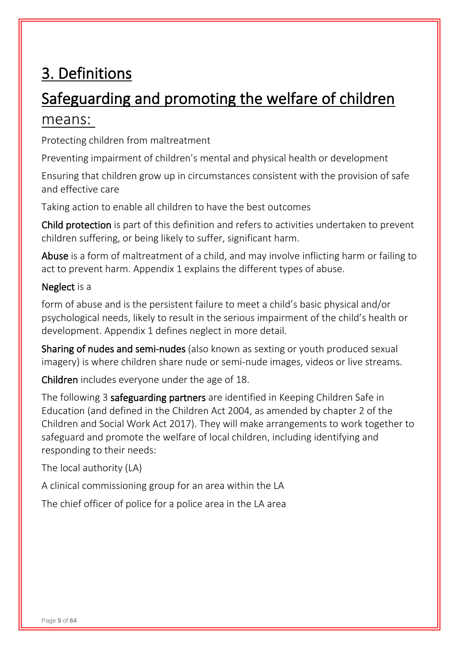# <span id="page-4-0"></span>3. Definitions

# Safeguarding and promoting the welfare of children

#### means:

Protecting children from maltreatment

Preventing impairment of children's mental and physical health or development

Ensuring that children grow up in circumstances consistent with the provision of safe and effective care

Taking action to enable all children to have the best outcomes

Child protection is part of this definition and refers to activities undertaken to prevent children suffering, or being likely to suffer, significant harm.

Abuse is a form of maltreatment of a child, and may involve inflicting harm or failing to act to prevent harm. Appendix 1 explains the different types of abuse.

#### Neglect is a

form of abuse and is the persistent failure to meet a child's basic physical and/or psychological needs, likely to result in the serious impairment of the child's health or development. Appendix 1 defines neglect in more detail.

Sharing of nudes and semi-nudes (also known as sexting or youth produced sexual imagery) is where children share nude or semi-nude images, videos or live streams.

Children includes everyone under the age of 18.

The following 3 safeguarding partners are identified in Keeping Children Safe in Education (and defined in the Children Act 2004, as amended by chapter 2 of the Children and Social Work Act 2017). They will make arrangements to work together to safeguard and promote the welfare of local children, including identifying and responding to their needs:

The local authority (LA)

A clinical commissioning group for an area within the LA

The chief officer of police for a police area in the LA area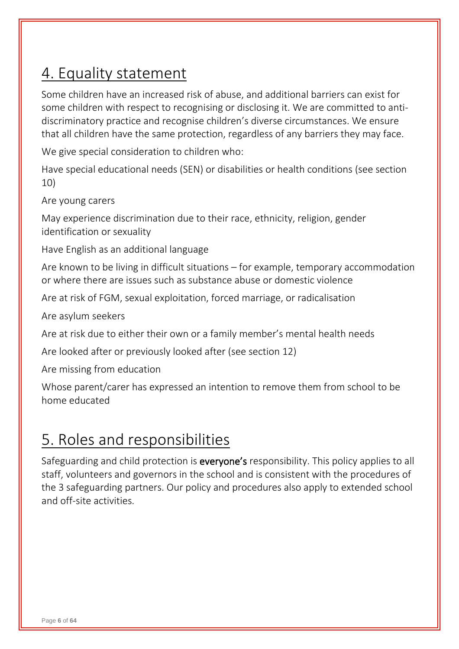#### <span id="page-5-0"></span>4. Equality statement

Some children have an increased risk of abuse, and additional barriers can exist for some children with respect to recognising or disclosing it. We are committed to antidiscriminatory practice and recognise children's diverse circumstances. We ensure that all children have the same protection, regardless of any barriers they may face.

We give special consideration to children who:

Have special educational needs (SEN) or disabilities or health conditions (see section 10)

Are young carers

May experience discrimination due to their race, ethnicity, religion, gender identification or sexuality

Have English as an additional language

Are known to be living in difficult situations – for example, temporary accommodation or where there are issues such as substance abuse or domestic violence

Are at risk of FGM, sexual exploitation, forced marriage, or radicalisation

Are asylum seekers

Are at risk due to either their own or a family member's mental health needs

Are looked after or previously looked after (see section 12)

Are missing from education

Whose parent/carer has expressed an intention to remove them from school to be home educated

### <span id="page-5-1"></span>5. Roles and responsibilities

Safeguarding and child protection is everyone's responsibility. This policy applies to all staff, volunteers and governors in the school and is consistent with the procedures of the 3 safeguarding partners. Our policy and procedures also apply to extended school and off-site activities.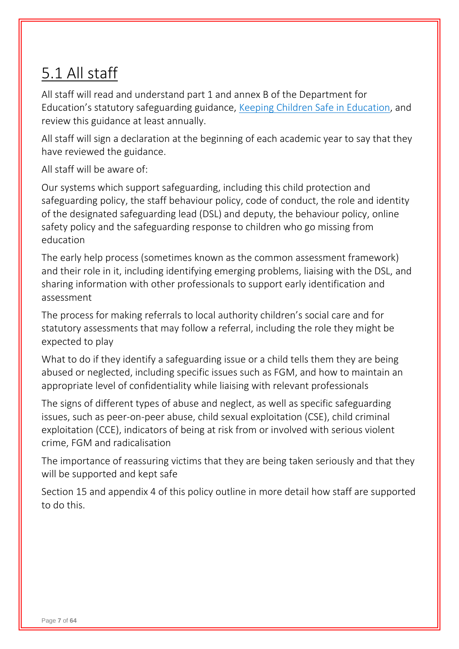# 5.1 All staff

All staff will read and understand part 1 and annex B of the Department for Education's statutory safeguarding guidance, [Keeping Children Safe in Education,](https://www.gov.uk/government/publications/keeping-children-safe-in-education--2) and review this guidance at least annually.

All staff will sign a declaration at the beginning of each academic year to say that they have reviewed the guidance.

All staff will be aware of:

Our systems which support safeguarding, including this child protection and safeguarding policy, the staff behaviour policy, code of conduct, the role and identity of the designated safeguarding lead (DSL) and deputy, the behaviour policy, online safety policy and the safeguarding response to children who go missing from education

The early help process (sometimes known as the common assessment framework) and their role in it, including identifying emerging problems, liaising with the DSL, and sharing information with other professionals to support early identification and assessment

The process for making referrals to local authority children's social care and for statutory assessments that may follow a referral, including the role they might be expected to play

What to do if they identify a safeguarding issue or a child tells them they are being abused or neglected, including specific issues such as FGM, and how to maintain an appropriate level of confidentiality while liaising with relevant professionals

The signs of different types of abuse and neglect, as well as specific safeguarding issues, such as peer-on-peer abuse, child sexual exploitation (CSE), child criminal exploitation (CCE), indicators of being at risk from or involved with serious violent crime, FGM and radicalisation

The importance of reassuring victims that they are being taken seriously and that they will be supported and kept safe

Section 15 and appendix 4 of this policy outline in more detail how staff are supported to do this.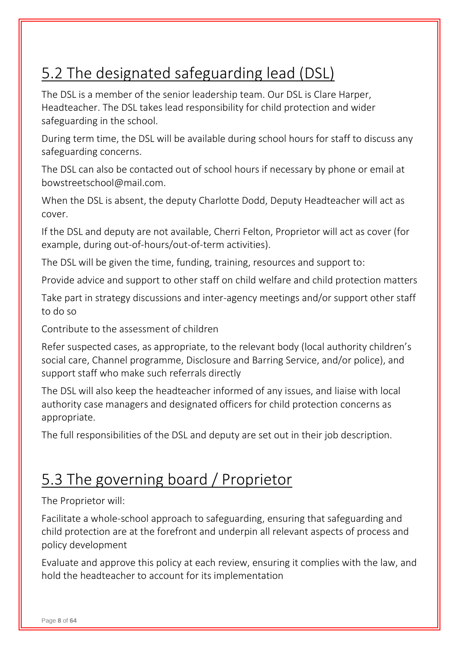# 5.2 The designated safeguarding lead (DSL)

The DSL is a member of the senior leadership team. Our DSL is Clare Harper, Headteacher. The DSL takes lead responsibility for child protection and wider safeguarding in the school.

During term time, the DSL will be available during school hours for staff to discuss any safeguarding concerns.

The DSL can also be contacted out of school hours if necessary by phone or email at bowstreetschool@mail.com.

When the DSL is absent, the deputy Charlotte Dodd, Deputy Headteacher will act as cover.

If the DSL and deputy are not available, Cherri Felton, Proprietor will act as cover (for example, during out-of-hours/out-of-term activities).

The DSL will be given the time, funding, training, resources and support to:

Provide advice and support to other staff on child welfare and child protection matters

Take part in strategy discussions and inter-agency meetings and/or support other staff to do so

Contribute to the assessment of children

Refer suspected cases, as appropriate, to the relevant body (local authority children's social care, Channel programme, Disclosure and Barring Service, and/or police), and support staff who make such referrals directly

The DSL will also keep the headteacher informed of any issues, and liaise with local authority case managers and designated officers for child protection concerns as appropriate.

The full responsibilities of the DSL and deputy are set out in their job description.

# 5.3 The governing board / Proprietor

#### The Proprietor will:

Facilitate a whole-school approach to safeguarding, ensuring that safeguarding and child protection are at the forefront and underpin all relevant aspects of process and policy development

Evaluate and approve this policy at each review, ensuring it complies with the law, and hold the headteacher to account for its implementation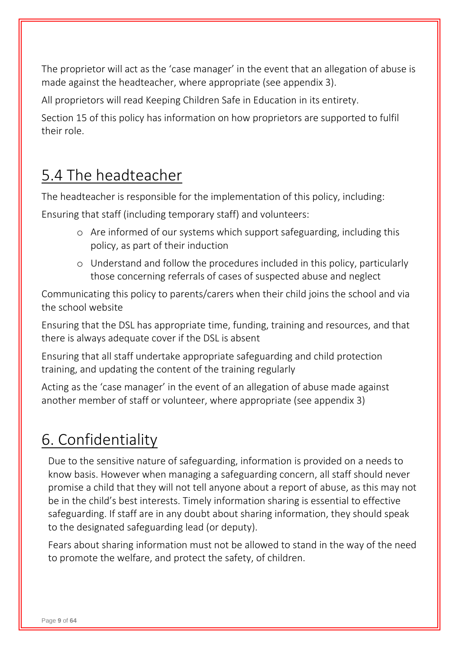The proprietor will act as the 'case manager' in the event that an allegation of abuse is made against the headteacher, where appropriate (see appendix 3).

All proprietors will read Keeping Children Safe in Education in its entirety.

Section 15 of this policy has information on how proprietors are supported to fulfil their role.

# 5.4 The headteacher

The headteacher is responsible for the implementation of this policy, including:

Ensuring that staff (including temporary staff) and volunteers:

- o Are informed of our systems which support safeguarding, including this policy, as part of their induction
- o Understand and follow the procedures included in this policy, particularly those concerning referrals of cases of suspected abuse and neglect

Communicating this policy to parents/carers when their child joins the school and via the school website

Ensuring that the DSL has appropriate time, funding, training and resources, and that there is always adequate cover if the DSL is absent

Ensuring that all staff undertake appropriate safeguarding and child protection training, and updating the content of the training regularly

Acting as the 'case manager' in the event of an allegation of abuse made against another member of staff or volunteer, where appropriate (see appendix 3)

# <span id="page-8-0"></span>6. Confidentiality

Due to the sensitive nature of safeguarding, information is provided on a needs to know basis. However when managing a safeguarding concern, all staff should never promise a child that they will not tell anyone about a report of abuse, as this may not be in the child's best interests. Timely information sharing is essential to effective safeguarding. If staff are in any doubt about sharing information, they should speak to the designated safeguarding lead (or deputy).

Fears about sharing information must not be allowed to stand in the way of the need to promote the welfare, and protect the safety, of children.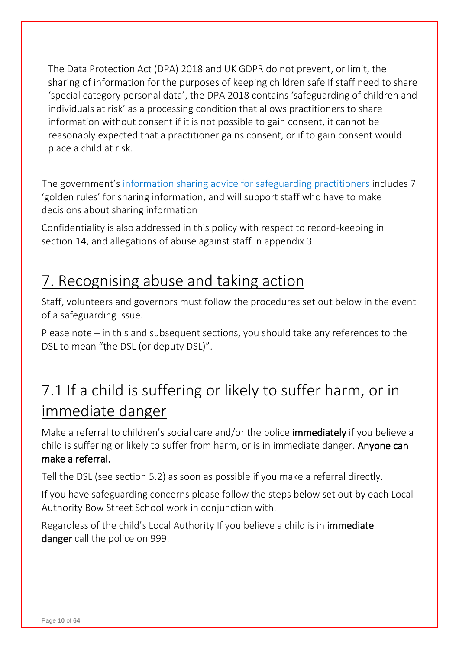The Data Protection Act (DPA) 2018 and UK GDPR do not prevent, or limit, the sharing of information for the purposes of keeping children safe If staff need to share 'special category personal data', the DPA 2018 contains 'safeguarding of children and individuals at risk' as a processing condition that allows practitioners to share information without consent if it is not possible to gain consent, it cannot be reasonably expected that a practitioner gains consent, or if to gain consent would place a child at risk.

The government's [information sharing advice for safeguarding practitioners](https://www.gov.uk/government/publications/safeguarding-practitioners-information-sharing-advice) includes 7 'golden rules' for sharing information, and will support staff who have to make decisions about sharing information

Confidentiality is also addressed in this policy with respect to record-keeping in section 14, and allegations of abuse against staff in appendix 3

### <span id="page-9-0"></span>7. Recognising abuse and taking action

Staff, volunteers and governors must follow the procedures set out below in the event of a safeguarding issue.

Please note – in this and subsequent sections, you should take any references to the DSL to mean "the DSL (or deputy DSL)".

# 7.1 If a child is suffering or likely to suffer harm, or in immediate danger

Make a referral to children's social care and/or the police immediately if you believe a child is suffering or likely to suffer from harm, or is in immediate danger. Anyone can make a referral.

Tell the DSL (see section 5.2) as soon as possible if you make a referral directly.

If you have safeguarding concerns please follow the steps below set out by each Local Authority Bow Street School work in conjunction with.

Regardless of the child's Local Authority If you believe a child is in immediate danger call the police on 999.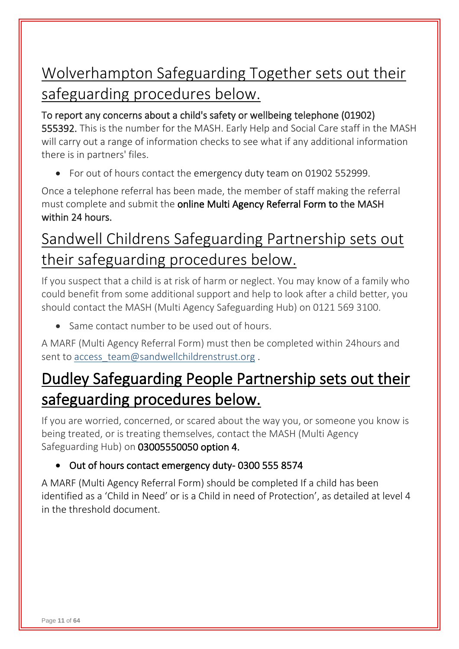# Wolverhampton Safeguarding Together sets out their safeguarding procedures below.

To report any concerns about a child's safety or wellbeing telephone (01902) 555392. This is the number for the MASH. Early Help and Social Care staff in the MASH will carry out a range of information checks to see what if any additional information there is in partners' files.

• For out of hours contact the emergency duty team on 01902 552999.

Once a telephone referral has been made, the member of staff making the referral must complete and submit the [online Multi Agency Referral Form](https://marf.wolverhampton.gov.uk/) to the MASH within 24 hours.

# Sandwell Childrens Safeguarding Partnership sets out their safeguarding procedures below.

If you suspect that a child is at risk of harm or neglect. You may know of a family who could benefit from some additional support and help to look after a child better, you should contact the MASH (Multi Agency Safeguarding Hub) on 0121 569 3100.

• Same contact number to be used out of hours.

A MARF (Multi Agency Referral Form) must then be completed within 24hours and sent to [access\\_team@sandwellchildrenstrust.org](mailto:access_team@sandwellchildrenstrust.org) .

# Dudley Safeguarding People Partnership sets out their safeguarding procedures below.

If you are worried, concerned, or scared about the way you, or someone you know is being treated, or is treating themselves, contact the MASH (Multi Agency Safeguarding Hub) on 03005550050 option 4.

#### • Out of hours contact emergency duty- 0300 555 8574

A MARF (Multi Agency Referral Form) should be completed If a child has been identified as a 'Child in Need' or is a Child in need of Protection', as detailed at level 4 in the threshold document.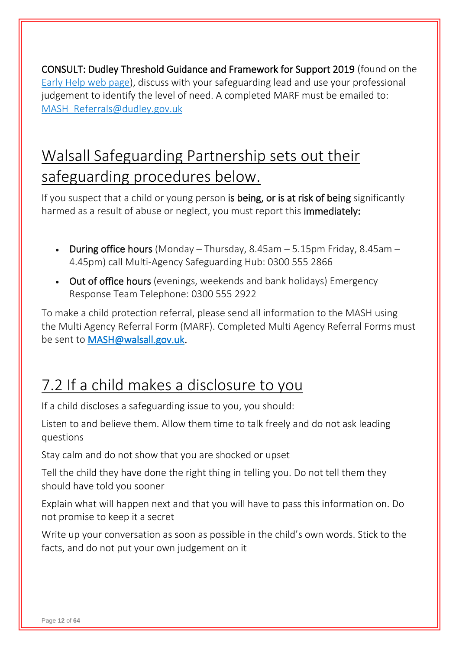CONSULT: Dudley Threshold Guidance and Framework for Support 2019 (found on the [Early Help web page\)](https://safeguarding.dudley.gov.uk/safeguarding/child/work-with-children-young-people/dudley-early-help/), discuss with your safeguarding lead and use your professional judgement to identify the level of need. A completed MARF must be emailed to: [MASH\\_Referrals@dudley.gov.uk](mailto:MASH_Referrals@dudley.gov.uk)

# Walsall Safeguarding Partnership sets out their safeguarding procedures below.

If you suspect that a child or young person is being, or is at risk of being significantly harmed as a result of abuse or neglect, you must report this **immediately:** 

- During office hours (Monday Thursday, 8.45am 5.15pm Friday, 8.45am 4.45pm) call Multi-Agency Safeguarding Hub: 0300 555 2866
- Out of office hours (evenings, weekends and bank holidays) Emergency Response Team Telephone: 0300 555 2922

To make a child protection referral, please send all information to the MASH using the Multi Agency Referral Form (MARF). Completed Multi Agency Referral Forms must be sent to [MASH@walsall.gov.uk.](mailto:MASH@walsall.gov.uk)

# 7.2 If a child makes a disclosure to you

If a child discloses a safeguarding issue to you, you should:

Listen to and believe them. Allow them time to talk freely and do not ask leading questions

Stay calm and do not show that you are shocked or upset

Tell the child they have done the right thing in telling you. Do not tell them they should have told you sooner

Explain what will happen next and that you will have to pass this information on. Do not promise to keep it a secret

Write up your conversation as soon as possible in the child's own words. Stick to the facts, and do not put your own judgement on it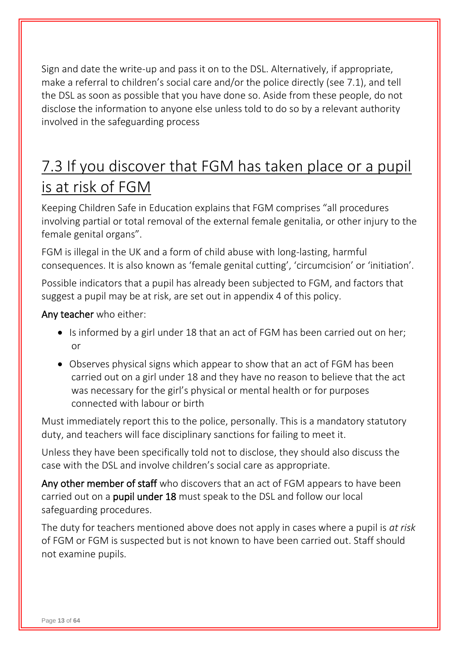Sign and date the write-up and pass it on to the DSL. Alternatively, if appropriate, make a referral to children's social care and/or the police directly (see 7.1), and tell the DSL as soon as possible that you have done so. Aside from these people, do not disclose the information to anyone else unless told to do so by a relevant authority involved in the safeguarding process

# 7.3 If you discover that FGM has taken place or a pupil is at risk of FGM

Keeping Children Safe in Education explains that FGM comprises "all procedures involving partial or total removal of the external female genitalia, or other injury to the female genital organs".

FGM is illegal in the UK and a form of child abuse with long-lasting, harmful consequences. It is also known as 'female genital cutting', 'circumcision' or 'initiation'.

Possible indicators that a pupil has already been subjected to FGM, and factors that suggest a pupil may be at risk, are set out in appendix 4 of this policy.

Any teacher who either:

- Is informed by a girl under 18 that an act of FGM has been carried out on her; or
- Observes physical signs which appear to show that an act of FGM has been carried out on a girl under 18 and they have no reason to believe that the act was necessary for the girl's physical or mental health or for purposes connected with labour or birth

Must immediately report this to the police, personally. This is a mandatory statutory duty, and teachers will face disciplinary sanctions for failing to meet it.

Unless they have been specifically told not to disclose, they should also discuss the case with the DSL and involve children's social care as appropriate.

Any other member of staff who discovers that an act of FGM appears to have been carried out on a pupil under 18 must speak to the DSL and follow our local safeguarding procedures.

The duty for teachers mentioned above does not apply in cases where a pupil is *at risk*  of FGM or FGM is suspected but is not known to have been carried out. Staff should not examine pupils.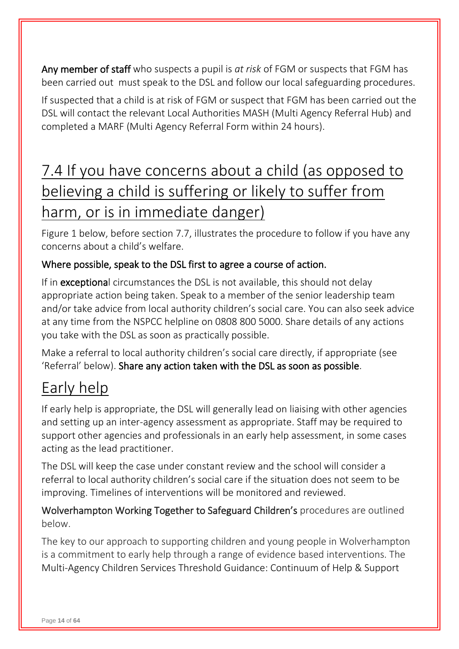Any member of staff who suspects a pupil is *at risk* of FGM or suspects that FGM has been carried out must speak to the DSL and follow our local safeguarding procedures.

If suspected that a child is at risk of FGM or suspect that FGM has been carried out the DSL will contact the relevant Local Authorities MASH (Multi Agency Referral Hub) and completed a MARF (Multi Agency Referral Form within 24 hours).

# 7.4 If you have concerns about a child (as opposed to believing a child is suffering or likely to suffer from harm, or is in immediate danger)

Figure 1 below, before section 7.7, illustrates the procedure to follow if you have any concerns about a child's welfare.

#### Where possible, speak to the DSL first to agree a course of action.

If in exceptional circumstances the DSL is not available, this should not delay appropriate action being taken. Speak to a member of the senior leadership team and/or take advice from local authority children's social care. You can also seek advice at any time from the NSPCC helpline on 0808 800 5000. Share details of any actions you take with the DSL as soon as practically possible.

Make a referral to local authority children's social care directly, if appropriate (see 'Referral' below). Share any action taken with the DSL as soon as possible.

#### Early help

If early help is appropriate, the DSL will generally lead on liaising with other agencies and setting up an inter-agency assessment as appropriate. Staff may be required to support other agencies and professionals in an early help assessment, in some cases acting as the lead practitioner.

The DSL will keep the case under constant review and the school will consider a referral to local authority children's social care if the situation does not seem to be improving. Timelines of interventions will be monitored and reviewed.

Wolverhampton Working Together to Safeguard Children's procedures are outlined below.

The key to our approach to supporting children and young people in Wolverhampton is a commitment to early help through a range of evidence based interventions. The Multi-Agency Children Services Threshold Guidance: Continuum of Help & Support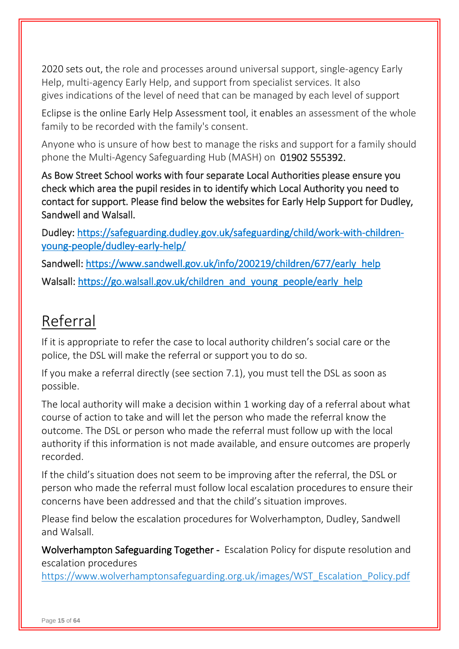2020 sets out, the role and processes around universal support, single-agency Early Help, multi-agency Early Help, and support from specialist services. It also gives indications of the level of need that can be managed by each level of support

Eclipse is the online Early Help Assessment tool, it enables an assessment of the whole family to be recorded with the family's consent.

Anyone who is unsure of how best to manage the risks and support for a family should phone the Multi-Agency Safeguarding Hub (MASH) on 01902 555392.

As Bow Street School works with four separate Local Authorities please ensure you check which area the pupil resides in to identify which Local Authority you need to contact for support. Please find below the websites for Early Help Support for Dudley, Sandwell and Walsall.

Dudley: [https://safeguarding.dudley.gov.uk/safeguarding/child/work-with-children](https://safeguarding.dudley.gov.uk/safeguarding/child/work-with-children-young-people/dudley-early-help/)[young-people/dudley-early-help/](https://safeguarding.dudley.gov.uk/safeguarding/child/work-with-children-young-people/dudley-early-help/) 

Sandwell: [https://www.sandwell.gov.uk/info/200219/children/677/early\\_help](https://www.sandwell.gov.uk/info/200219/children/677/early_help)  Walsall: https://go.walsall.gov.uk/children\_and\_young\_people/early\_help

#### Referral

If it is appropriate to refer the case to local authority children's social care or the police, the DSL will make the referral or support you to do so.

If you make a referral directly (see section 7.1), you must tell the DSL as soon as possible.

The local authority will make a decision within 1 working day of a referral about what course of action to take and will let the person who made the referral know the outcome. The DSL or person who made the referral must follow up with the local authority if this information is not made available, and ensure outcomes are properly recorded.

If the child's situation does not seem to be improving after the referral, the DSL or person who made the referral must follow local escalation procedures to ensure their concerns have been addressed and that the child's situation improves.

Please find below the escalation procedures for Wolverhampton, Dudley, Sandwell and Walsall.

Wolverhampton Safeguarding Together - Escalation Policy for dispute resolution and escalation procedures

[https://www.wolverhamptonsafeguarding.org.uk/images/WST\\_Escalation\\_Policy.pdf](https://www.wolverhamptonsafeguarding.org.uk/images/WST_Escalation_Policy.pdf)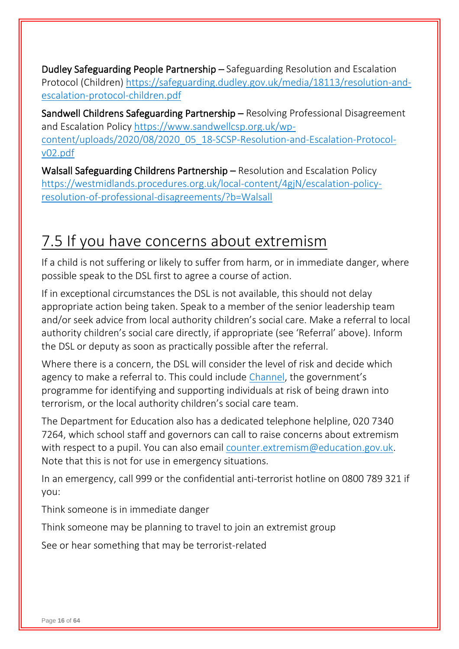Dudley Safeguarding People Partnership – Safeguarding Resolution and Escalation Protocol (Children) [https://safeguarding.dudley.gov.uk/media/18113/resolution-and](https://safeguarding.dudley.gov.uk/media/18113/resolution-and-escalation-protocol-children.pdf)[escalation-protocol-children.pdf](https://safeguarding.dudley.gov.uk/media/18113/resolution-and-escalation-protocol-children.pdf)

Sandwell Childrens Safeguarding Partnership – Resolving Professional Disagreement and Escalation Policy [https://www.sandwellcsp.org.uk/wp](https://www.sandwellcsp.org.uk/wp-content/uploads/2020/08/2020_05_18-SCSP-Resolution-and-Escalation-Protocol-v02.pdf)[content/uploads/2020/08/2020\\_05\\_18-SCSP-Resolution-and-Escalation-Protocol](https://www.sandwellcsp.org.uk/wp-content/uploads/2020/08/2020_05_18-SCSP-Resolution-and-Escalation-Protocol-v02.pdf)[v02.pdf](https://www.sandwellcsp.org.uk/wp-content/uploads/2020/08/2020_05_18-SCSP-Resolution-and-Escalation-Protocol-v02.pdf)

Walsall Safeguarding Childrens Partnership – Resolution and Escalation Policy [https://westmidlands.procedures.org.uk/local-content/4gjN/escalation-policy](https://westmidlands.procedures.org.uk/local-content/4gjN/escalation-policy-resolution-of-professional-disagreements/?b=Walsall)[resolution-of-professional-disagreements/?b=Walsall](https://westmidlands.procedures.org.uk/local-content/4gjN/escalation-policy-resolution-of-professional-disagreements/?b=Walsall)

### 7.5 If you have concerns about extremism

If a child is not suffering or likely to suffer from harm, or in immediate danger, where possible speak to the DSL first to agree a course of action.

If in exceptional circumstances the DSL is not available, this should not delay appropriate action being taken. Speak to a member of the senior leadership team and/or seek advice from local authority children's social care. Make a referral to local authority children's social care directly, if appropriate (see 'Referral' above). Inform the DSL or deputy as soon as practically possible after the referral.

Where there is a concern, the DSL will consider the level of risk and decide which agency to make a referral to. This could include [Channel](https://www.gov.uk/government/publications/channel-guidance), the government's programme for identifying and supporting individuals at risk of being drawn into terrorism, or the local authority children's social care team.

The Department for Education also has a dedicated telephone helpline, 020 7340 7264, which school staff and governors can call to raise concerns about extremism with respect to a pupil. You can also email [counter.extremism@education.gov.uk.](mailto:counter.extremism@education.gov.uk) Note that this is not for use in emergency situations.

In an emergency, call 999 or the confidential anti-terrorist hotline on 0800 789 321 if you:

Think someone is in immediate danger

Think someone may be planning to travel to join an extremist group

See or hear something that may be terrorist-related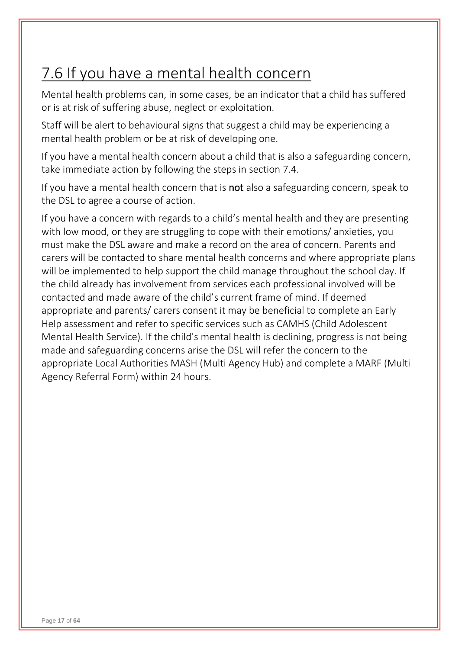# 7.6 If you have a mental health concern

Mental health problems can, in some cases, be an indicator that a child has suffered or is at risk of suffering abuse, neglect or exploitation.

Staff will be alert to behavioural signs that suggest a child may be experiencing a mental health problem or be at risk of developing one.

If you have a mental health concern about a child that is also a safeguarding concern, take immediate action by following the steps in section 7.4.

If you have a mental health concern that is **not** also a safeguarding concern, speak to the DSL to agree a course of action.

If you have a concern with regards to a child's mental health and they are presenting with low mood, or they are struggling to cope with their emotions/ anxieties, you must make the DSL aware and make a record on the area of concern. Parents and carers will be contacted to share mental health concerns and where appropriate plans will be implemented to help support the child manage throughout the school day. If the child already has involvement from services each professional involved will be contacted and made aware of the child's current frame of mind. If deemed appropriate and parents/ carers consent it may be beneficial to complete an Early Help assessment and refer to specific services such as CAMHS (Child Adolescent Mental Health Service). If the child's mental health is declining, progress is not being made and safeguarding concerns arise the DSL will refer the concern to the appropriate Local Authorities MASH (Multi Agency Hub) and complete a MARF (Multi Agency Referral Form) within 24 hours.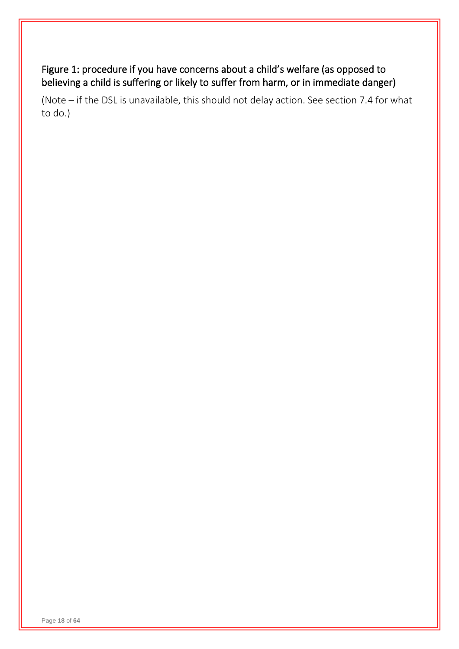#### Figure 1: procedure if you have concerns about a child's welfare (as opposed to believing a child is suffering or likely to suffer from harm, or in immediate danger)

(Note – if the DSL is unavailable, this should not delay action. See section 7.4 for what to do.)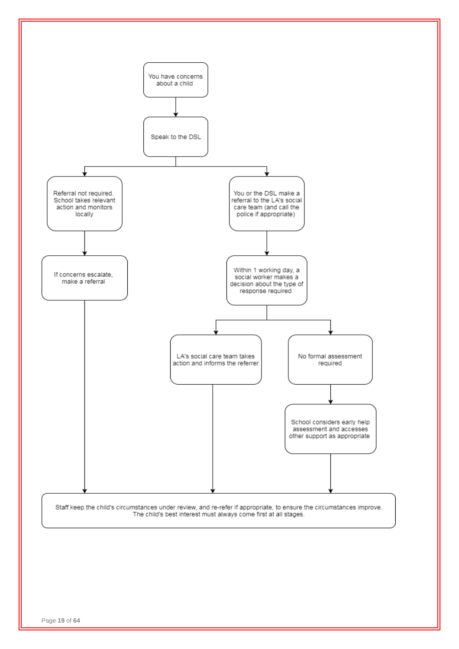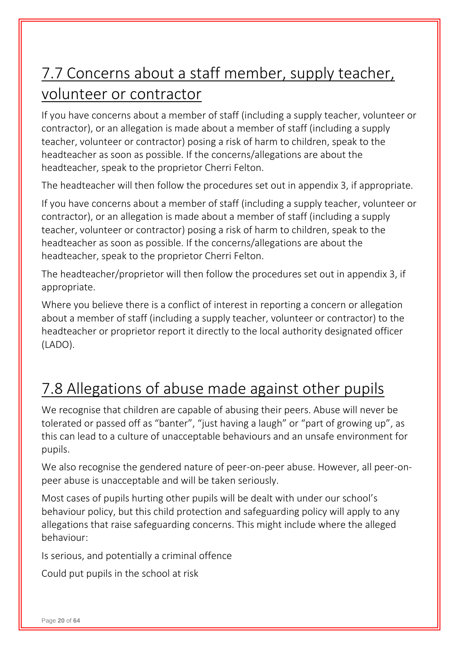# 7.7 Concerns about a staff member, supply teacher, volunteer or contractor

If you have concerns about a member of staff (including a supply teacher, volunteer or contractor), or an allegation is made about a member of staff (including a supply teacher, volunteer or contractor) posing a risk of harm to children, speak to the headteacher as soon as possible. If the concerns/allegations are about the headteacher, speak to the proprietor Cherri Felton.

The headteacher will then follow the procedures set out in appendix 3, if appropriate.

If you have concerns about a member of staff (including a supply teacher, volunteer or contractor), or an allegation is made about a member of staff (including a supply teacher, volunteer or contractor) posing a risk of harm to children, speak to the headteacher as soon as possible. If the concerns/allegations are about the headteacher, speak to the proprietor Cherri Felton.

The headteacher/proprietor will then follow the procedures set out in appendix 3, if appropriate.

Where you believe there is a conflict of interest in reporting a concern or allegation about a member of staff (including a supply teacher, volunteer or contractor) to the headteacher or proprietor report it directly to the local authority designated officer (LADO).

# 7.8 Allegations of abuse made against other pupils

We recognise that children are capable of abusing their peers. Abuse will never be tolerated or passed off as "banter", "just having a laugh" or "part of growing up", as this can lead to a culture of unacceptable behaviours and an unsafe environment for pupils.

We also recognise the gendered nature of peer-on-peer abuse. However, all peer-onpeer abuse is unacceptable and will be taken seriously.

Most cases of pupils hurting other pupils will be dealt with under our school's behaviour policy, but this child protection and safeguarding policy will apply to any allegations that raise safeguarding concerns. This might include where the alleged behaviour:

Is serious, and potentially a criminal offence

Could put pupils in the school at risk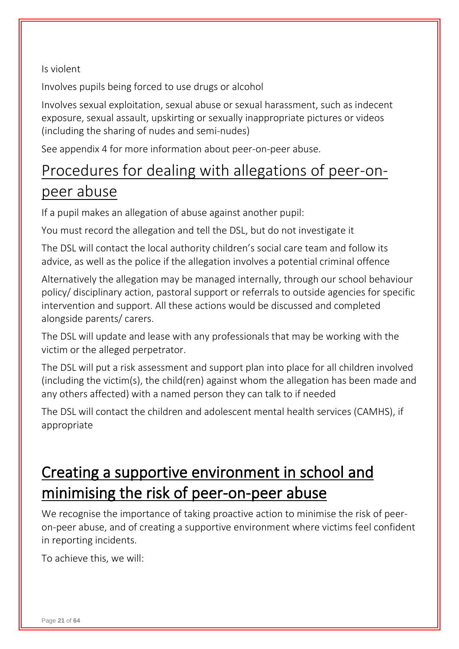#### Is violent

Involves pupils being forced to use drugs or alcohol

Involves sexual exploitation, sexual abuse or sexual harassment, such as indecent exposure, sexual assault, upskirting or sexually inappropriate pictures or videos (including the sharing of nudes and semi-nudes)

See appendix 4 for more information about peer-on-peer abuse.

#### Procedures for dealing with allegations of peer-onpeer abuse

If a pupil makes an allegation of abuse against another pupil:

You must record the allegation and tell the DSL, but do not investigate it

The DSL will contact the local authority children's social care team and follow its advice, as well as the police if the allegation involves a potential criminal offence

Alternatively the allegation may be managed internally, through our school behaviour policy/ disciplinary action, pastoral support or referrals to outside agencies for specific intervention and support. All these actions would be discussed and completed alongside parents/ carers.

The DSL will update and lease with any professionals that may be working with the victim or the alleged perpetrator.

The DSL will put a risk assessment and support plan into place for all children involved (including the victim(s), the child(ren) against whom the allegation has been made and any others affected) with a named person they can talk to if needed

The DSL will contact the children and adolescent mental health services (CAMHS), if appropriate

# Creating a supportive environment in school and minimising the risk of peer-on-peer abuse

We recognise the importance of taking proactive action to minimise the risk of peeron-peer abuse, and of creating a supportive environment where victims feel confident in reporting incidents.

To achieve this, we will: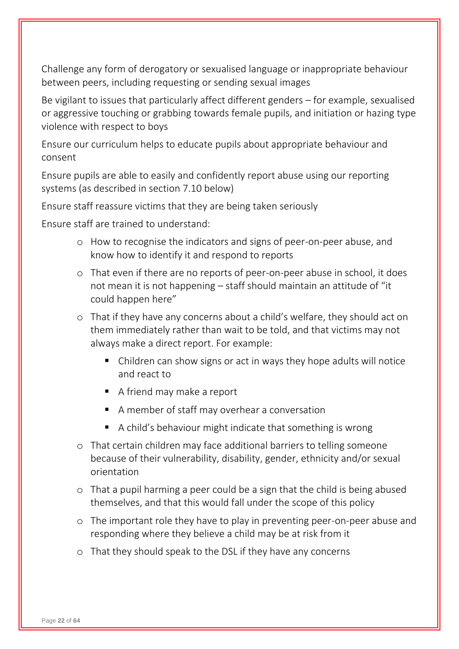Challenge any form of derogatory or sexualised language or inappropriate behaviour between peers, including requesting or sending sexual images

Be vigilant to issues that particularly affect different genders – for example, sexualised or aggressive touching or grabbing towards female pupils, and initiation or hazing type violence with respect to boys

Ensure our curriculum helps to educate pupils about appropriate behaviour and consent

Ensure pupils are able to easily and confidently report abuse using our reporting systems (as described in section 7.10 below)

Ensure staff reassure victims that they are being taken seriously

Ensure staff are trained to understand:

- o How to recognise the indicators and signs of peer-on-peer abuse, and know how to identify it and respond to reports
- o That even if there are no reports of peer-on-peer abuse in school, it does not mean it is not happening – staff should maintain an attitude of "it could happen here"
- o That if they have any concerns about a child's welfare, they should act on them immediately rather than wait to be told, and that victims may not always make a direct report. For example:
	- Children can show signs or act in ways they hope adults will notice and react to
	- A friend may make a report
	- A member of staff may overhear a conversation
	- A child's behaviour might indicate that something is wrong
- o That certain children may face additional barriers to telling someone because of their vulnerability, disability, gender, ethnicity and/or sexual orientation
- o That a pupil harming a peer could be a sign that the child is being abused themselves, and that this would fall under the scope of this policy
- o The important role they have to play in preventing peer-on-peer abuse and responding where they believe a child may be at risk from it
- o That they should speak to the DSL if they have any concerns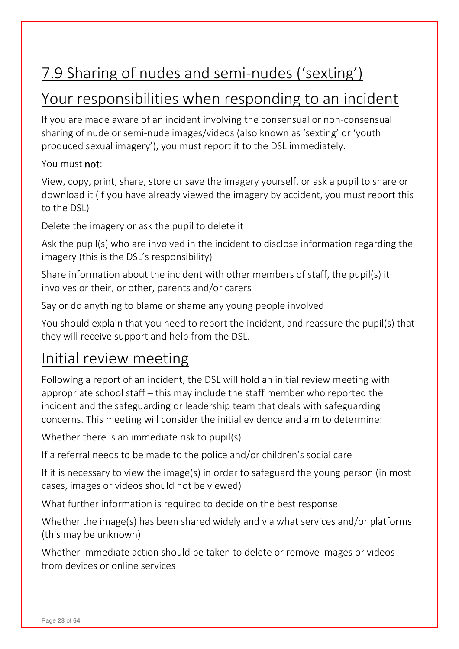# 7.9 Sharing of nudes and semi-nudes ('sexting')

#### Your responsibilities when responding to an incident

If you are made aware of an incident involving the consensual or non-consensual sharing of nude or semi-nude images/videos (also known as 'sexting' or 'youth produced sexual imagery'), you must report it to the DSL immediately.

You must not:

View, copy, print, share, store or save the imagery yourself, or ask a pupil to share or download it (if you have already viewed the imagery by accident, you must report this to the DSL)

Delete the imagery or ask the pupil to delete it

Ask the pupil(s) who are involved in the incident to disclose information regarding the imagery (this is the DSL's responsibility)

Share information about the incident with other members of staff, the pupil(s) it involves or their, or other, parents and/or carers

Say or do anything to blame or shame any young people involved

You should explain that you need to report the incident, and reassure the pupil(s) that they will receive support and help from the DSL.

#### Initial review meeting

Following a report of an incident, the DSL will hold an initial review meeting with appropriate school staff – this may include the staff member who reported the incident and the safeguarding or leadership team that deals with safeguarding concerns. This meeting will consider the initial evidence and aim to determine:

Whether there is an immediate risk to pupil(s)

If a referral needs to be made to the police and/or children's social care

If it is necessary to view the image(s) in order to safeguard the young person (in most cases, images or videos should not be viewed)

What further information is required to decide on the best response

Whether the image(s) has been shared widely and via what services and/or platforms (this may be unknown)

Whether immediate action should be taken to delete or remove images or videos from devices or online services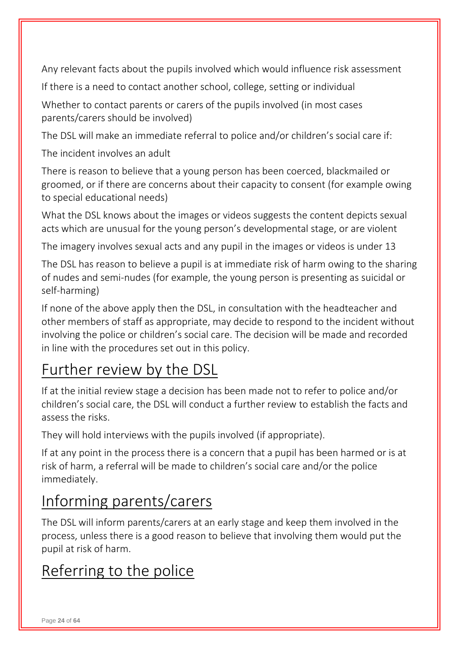Any relevant facts about the pupils involved which would influence risk assessment

If there is a need to contact another school, college, setting or individual

Whether to contact parents or carers of the pupils involved (in most cases parents/carers should be involved)

The DSL will make an immediate referral to police and/or children's social care if:

The incident involves an adult

There is reason to believe that a young person has been coerced, blackmailed or groomed, or if there are concerns about their capacity to consent (for example owing to special educational needs)

What the DSL knows about the images or videos suggests the content depicts sexual acts which are unusual for the young person's developmental stage, or are violent

The imagery involves sexual acts and any pupil in the images or videos is under 13

The DSL has reason to believe a pupil is at immediate risk of harm owing to the sharing of nudes and semi-nudes (for example, the young person is presenting as suicidal or self-harming)

If none of the above apply then the DSL, in consultation with the headteacher and other members of staff as appropriate, may decide to respond to the incident without involving the police or children's social care. The decision will be made and recorded in line with the procedures set out in this policy.

#### Further review by the DSL

If at the initial review stage a decision has been made not to refer to police and/or children's social care, the DSL will conduct a further review to establish the facts and assess the risks.

They will hold interviews with the pupils involved (if appropriate).

If at any point in the process there is a concern that a pupil has been harmed or is at risk of harm, a referral will be made to children's social care and/or the police immediately.

#### Informing parents/carers

The DSL will inform parents/carers at an early stage and keep them involved in the process, unless there is a good reason to believe that involving them would put the pupil at risk of harm.

#### Referring to the police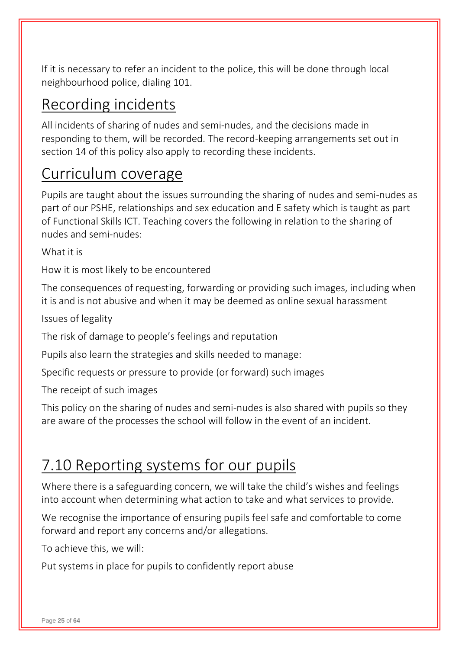If it is necessary to refer an incident to the police, this will be done through local neighbourhood police, dialing 101.

#### Recording incidents

All incidents of sharing of nudes and semi-nudes, and the decisions made in responding to them, will be recorded. The record-keeping arrangements set out in section 14 of this policy also apply to recording these incidents.

#### Curriculum coverage

Pupils are taught about the issues surrounding the sharing of nudes and semi-nudes as part of our PSHE, relationships and sex education and E safety which is taught as part of Functional Skills ICT. Teaching covers the following in relation to the sharing of nudes and semi-nudes:

What it is

How it is most likely to be encountered

The consequences of requesting, forwarding or providing such images, including when it is and is not abusive and when it may be deemed as online sexual harassment

Issues of legality

The risk of damage to people's feelings and reputation

Pupils also learn the strategies and skills needed to manage:

Specific requests or pressure to provide (or forward) such images

The receipt of such images

This policy on the sharing of nudes and semi-nudes is also shared with pupils so they are aware of the processes the school will follow in the event of an incident.

# 7.10 Reporting systems for our pupils

Where there is a safeguarding concern, we will take the child's wishes and feelings into account when determining what action to take and what services to provide.

We recognise the importance of ensuring pupils feel safe and comfortable to come forward and report any concerns and/or allegations.

To achieve this, we will:

Put systems in place for pupils to confidently report abuse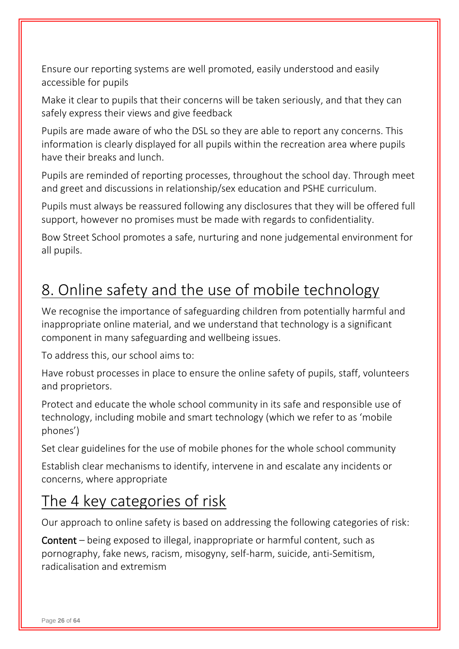Ensure our reporting systems are well promoted, easily understood and easily accessible for pupils

Make it clear to pupils that their concerns will be taken seriously, and that they can safely express their views and give feedback

Pupils are made aware of who the DSL so they are able to report any concerns. This information is clearly displayed for all pupils within the recreation area where pupils have their breaks and lunch.

Pupils are reminded of reporting processes, throughout the school day. Through meet and greet and discussions in relationship/sex education and PSHE curriculum.

Pupils must always be reassured following any disclosures that they will be offered full support, however no promises must be made with regards to confidentiality.

Bow Street School promotes a safe, nurturing and none judgemental environment for all pupils.

# <span id="page-25-0"></span>8. Online safety and the use of mobile technology

We recognise the importance of safeguarding children from potentially harmful and inappropriate online material, and we understand that technology is a significant component in many safeguarding and wellbeing issues.

To address this, our school aims to:

Have robust processes in place to ensure the online safety of pupils, staff, volunteers and proprietors.

Protect and educate the whole school community in its safe and responsible use of technology, including mobile and smart technology (which we refer to as 'mobile phones')

Set clear guidelines for the use of mobile phones for the whole school community

Establish clear mechanisms to identify, intervene in and escalate any incidents or concerns, where appropriate

#### The 4 key categories of risk

Our approach to online safety is based on addressing the following categories of risk:

Content – being exposed to illegal, inappropriate or harmful content, such as pornography, fake news, racism, misogyny, self-harm, suicide, anti-Semitism, radicalisation and extremism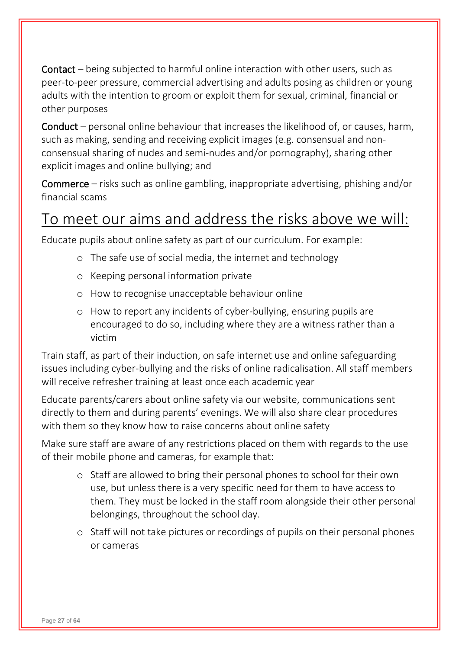Contact – being subjected to harmful online interaction with other users, such as peer-to-peer pressure, commercial advertising and adults posing as children or young adults with the intention to groom or exploit them for sexual, criminal, financial or other purposes

Conduct – personal online behaviour that increases the likelihood of, or causes, harm, such as making, sending and receiving explicit images (e.g. consensual and nonconsensual sharing of nudes and semi-nudes and/or pornography), sharing other explicit images and online bullying; and

Commerce – risks such as online gambling, inappropriate advertising, phishing and/or financial scams

#### To meet our aims and address the risks above we will:

Educate pupils about online safety as part of our curriculum. For example:

- o The safe use of social media, the internet and technology
- o Keeping personal information private
- o How to recognise unacceptable behaviour online
- o How to report any incidents of cyber-bullying, ensuring pupils are encouraged to do so, including where they are a witness rather than a victim

Train staff, as part of their induction, on safe internet use and online safeguarding issues including cyber-bullying and the risks of online radicalisation. All staff members will receive refresher training at least once each academic year

Educate parents/carers about online safety via our website, communications sent directly to them and during parents' evenings. We will also share clear procedures with them so they know how to raise concerns about online safety

Make sure staff are aware of any restrictions placed on them with regards to the use of their mobile phone and cameras, for example that:

- o Staff are allowed to bring their personal phones to school for their own use, but unless there is a very specific need for them to have access to them. They must be locked in the staff room alongside their other personal belongings, throughout the school day.
- o Staff will not take pictures or recordings of pupils on their personal phones or cameras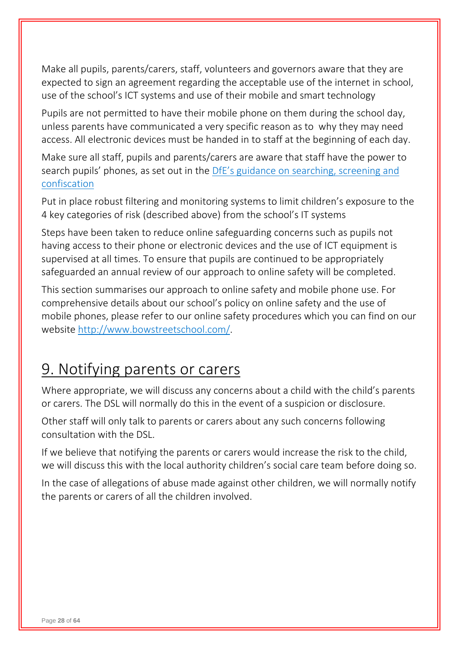Make all pupils, parents/carers, staff, volunteers and governors aware that they are expected to sign an agreement regarding the acceptable use of the internet in school, use of the school's ICT systems and use of their mobile and smart technology

Pupils are not permitted to have their mobile phone on them during the school day, unless parents have communicated a very specific reason as to why they may need access. All electronic devices must be handed in to staff at the beginning of each day.

Make sure all staff, pupils and parents/carers are aware that staff have the power to search pupils' phones, as set out in the [DfE's guidance on searching, screening and](https://www.gov.uk/government/publications/searching-screening-and-confiscation)  [confiscation](https://www.gov.uk/government/publications/searching-screening-and-confiscation)

Put in place robust filtering and monitoring systems to limit children's exposure to the 4 key categories of risk (described above) from the school's IT systems

Steps have been taken to reduce online safeguarding concerns such as pupils not having access to their phone or electronic devices and the use of ICT equipment is supervised at all times. To ensure that pupils are continued to be appropriately safeguarded an annual review of our approach to online safety will be completed.

This section summarises our approach to online safety and mobile phone use. For comprehensive details about our school's policy on online safety and the use of mobile phones, please refer to our online safety procedures which you can find on our website [http://www.bowstreetschool.com/.](http://www.bowstreetschool.com/)

#### <span id="page-27-0"></span>9. Notifying parents or carers

Where appropriate, we will discuss any concerns about a child with the child's parents or carers. The DSL will normally do this in the event of a suspicion or disclosure.

Other staff will only talk to parents or carers about any such concerns following consultation with the DSL.

If we believe that notifying the parents or carers would increase the risk to the child, we will discuss this with the local authority children's social care team before doing so.

In the case of allegations of abuse made against other children, we will normally notify the parents or carers of all the children involved.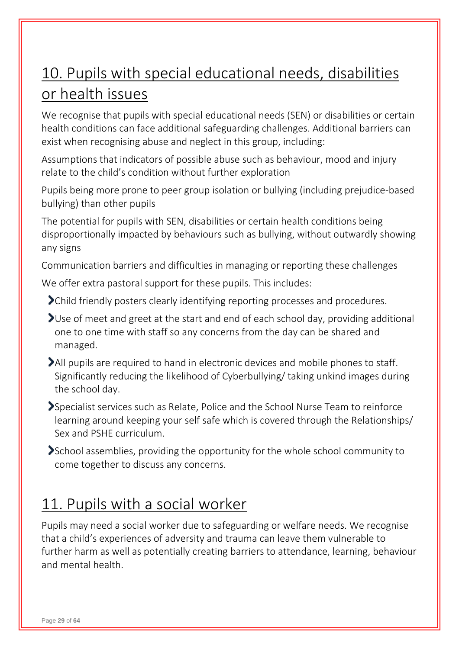# <span id="page-28-0"></span>10. Pupils with special educational needs, disabilities or health issues

We recognise that pupils with special educational needs (SEN) or disabilities or certain health conditions can face additional safeguarding challenges. Additional barriers can exist when recognising abuse and neglect in this group, including:

Assumptions that indicators of possible abuse such as behaviour, mood and injury relate to the child's condition without further exploration

Pupils being more prone to peer group isolation or bullying (including prejudice-based bullying) than other pupils

The potential for pupils with SEN, disabilities or certain health conditions being disproportionally impacted by behaviours such as bullying, without outwardly showing any signs

Communication barriers and difficulties in managing or reporting these challenges

We offer extra pastoral support for these pupils. This includes:

Child friendly posters clearly identifying reporting processes and procedures.

- Use of meet and greet at the start and end of each school day, providing additional one to one time with staff so any concerns from the day can be shared and managed.
- All pupils are required to hand in electronic devices and mobile phones to staff. Significantly reducing the likelihood of Cyberbullying/ taking unkind images during the school day.
- Specialist services such as Relate, Police and the School Nurse Team to reinforce learning around keeping your self safe which is covered through the Relationships/ Sex and PSHE curriculum.

School assemblies, providing the opportunity for the whole school community to come together to discuss any concerns.

#### <span id="page-28-1"></span>11. Pupils with a social worker

Pupils may need a social worker due to safeguarding or welfare needs. We recognise that a child's experiences of adversity and trauma can leave them vulnerable to further harm as well as potentially creating barriers to attendance, learning, behaviour and mental health.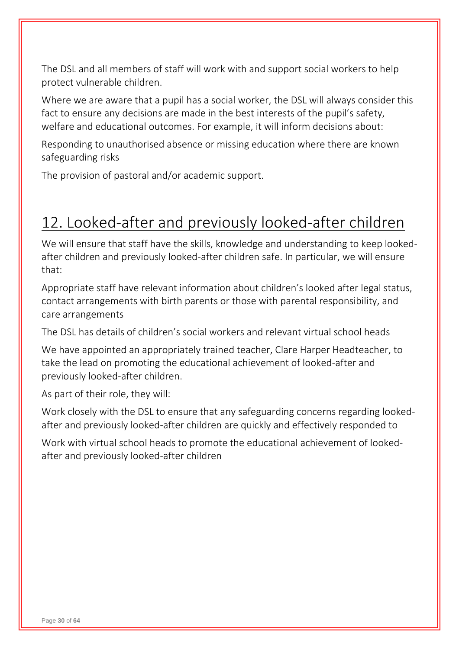The DSL and all members of staff will work with and support social workers to help protect vulnerable children.

Where we are aware that a pupil has a social worker, the DSL will always consider this fact to ensure any decisions are made in the best interests of the pupil's safety, welfare and educational outcomes. For example, it will inform decisions about:

Responding to unauthorised absence or missing education where there are known safeguarding risks

The provision of pastoral and/or academic support.

### <span id="page-29-0"></span>12. Looked-after and previously looked-after children

We will ensure that staff have the skills, knowledge and understanding to keep lookedafter children and previously looked-after children safe. In particular, we will ensure that:

Appropriate staff have relevant information about children's looked after legal status, contact arrangements with birth parents or those with parental responsibility, and care arrangements

The DSL has details of children's social workers and relevant virtual school heads

We have appointed an appropriately trained teacher, Clare Harper Headteacher, to take the lead on promoting the educational achievement of looked-after and previously looked-after children.

As part of their role, they will:

Work closely with the DSL to ensure that any safeguarding concerns regarding lookedafter and previously looked-after children are quickly and effectively responded to

Work with virtual school heads to promote the educational achievement of lookedafter and previously looked-after children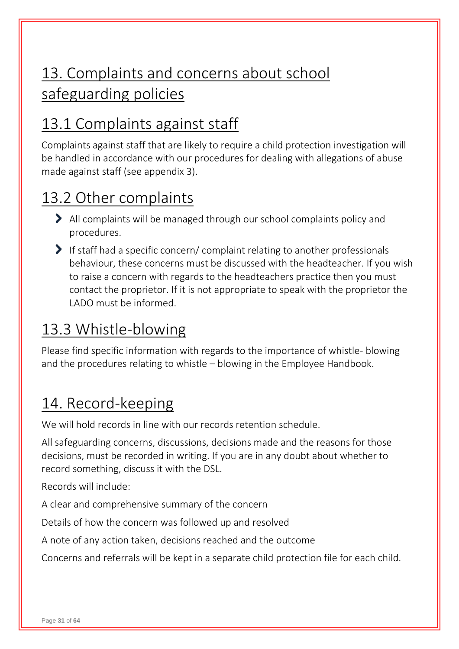# <span id="page-30-0"></span>13. Complaints and concerns about school safeguarding policies

# 13.1 Complaints against staff

Complaints against staff that are likely to require a child protection investigation will be handled in accordance with our procedures for dealing with allegations of abuse made against staff (see appendix 3).

#### 13.2 Other complaints

- All complaints will be managed through our school complaints policy and procedures.
- If staff had a specific concern/ complaint relating to another professionals behaviour, these concerns must be discussed with the headteacher. If you wish to raise a concern with regards to the headteachers practice then you must contact the proprietor. If it is not appropriate to speak with the proprietor the LADO must be informed.

# 13.3 Whistle-blowing

Please find specific information with regards to the importance of whistle- blowing and the procedures relating to whistle – blowing in the Employee Handbook.

# <span id="page-30-1"></span>14. Record-keeping

We will hold records in line with our records retention schedule.

All safeguarding concerns, discussions, decisions made and the reasons for those decisions, must be recorded in writing. If you are in any doubt about whether to record something, discuss it with the DSL.

Records will include:

A clear and comprehensive summary of the concern

Details of how the concern was followed up and resolved

A note of any action taken, decisions reached and the outcome

Concerns and referrals will be kept in a separate child protection file for each child.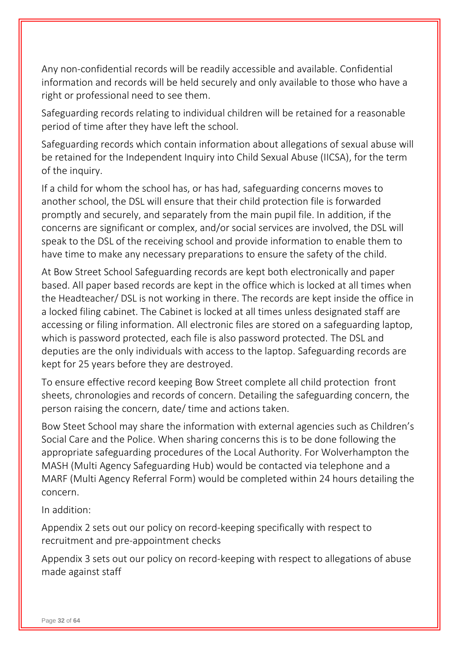Any non-confidential records will be readily accessible and available. Confidential information and records will be held securely and only available to those who have a right or professional need to see them.

Safeguarding records relating to individual children will be retained for a reasonable period of time after they have left the school.

Safeguarding records which contain information about allegations of sexual abuse will be retained for the Independent Inquiry into Child Sexual Abuse (IICSA), for the term of the inquiry.

If a child for whom the school has, or has had, safeguarding concerns moves to another school, the DSL will ensure that their child protection file is forwarded promptly and securely, and separately from the main pupil file. In addition, if the concerns are significant or complex, and/or social services are involved, the DSL will speak to the DSL of the receiving school and provide information to enable them to have time to make any necessary preparations to ensure the safety of the child.

At Bow Street School Safeguarding records are kept both electronically and paper based. All paper based records are kept in the office which is locked at all times when the Headteacher/ DSL is not working in there. The records are kept inside the office in a locked filing cabinet. The Cabinet is locked at all times unless designated staff are accessing or filing information. All electronic files are stored on a safeguarding laptop, which is password protected, each file is also password protected. The DSL and deputies are the only individuals with access to the laptop. Safeguarding records are kept for 25 years before they are destroyed.

To ensure effective record keeping Bow Street complete all child protection front sheets, chronologies and records of concern. Detailing the safeguarding concern, the person raising the concern, date/ time and actions taken.

Bow Steet School may share the information with external agencies such as Children's Social Care and the Police. When sharing concerns this is to be done following the appropriate safeguarding procedures of the Local Authority. For Wolverhampton the MASH (Multi Agency Safeguarding Hub) would be contacted via telephone and a MARF (Multi Agency Referral Form) would be completed within 24 hours detailing the concern.

In addition:

Appendix 2 sets out our policy on record-keeping specifically with respect to recruitment and pre-appointment checks

Appendix 3 sets out our policy on record-keeping with respect to allegations of abuse made against staff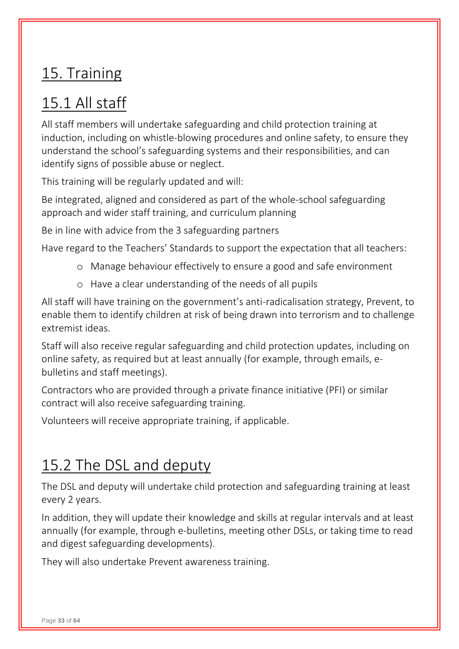# <span id="page-32-0"></span>15. Training

### 15.1 All staff

All staff members will undertake safeguarding and child protection training at induction, including on whistle-blowing procedures and online safety, to ensure they understand the school's safeguarding systems and their responsibilities, and can identify signs of possible abuse or neglect.

This training will be regularly updated and will:

Be integrated, aligned and considered as part of the whole-school safeguarding approach and wider staff training, and curriculum planning

Be in line with advice from the 3 safeguarding partners

Have regard to the Teachers' Standards to support the expectation that all teachers:

- o Manage behaviour effectively to ensure a good and safe environment
- o Have a clear understanding of the needs of all pupils

All staff will have training on the government's anti-radicalisation strategy, Prevent, to enable them to identify children at risk of being drawn into terrorism and to challenge extremist ideas.

Staff will also receive regular safeguarding and child protection updates, including on online safety, as required but at least annually (for example, through emails, ebulletins and staff meetings).

Contractors who are provided through a private finance initiative (PFI) or similar contract will also receive safeguarding training.

Volunteers will receive appropriate training, if applicable.

### 15.2 The DSL and deputy

The DSL and deputy will undertake child protection and safeguarding training at least every 2 years.

In addition, they will update their knowledge and skills at regular intervals and at least annually (for example, through e-bulletins, meeting other DSLs, or taking time to read and digest safeguarding developments).

They will also undertake Prevent awareness training.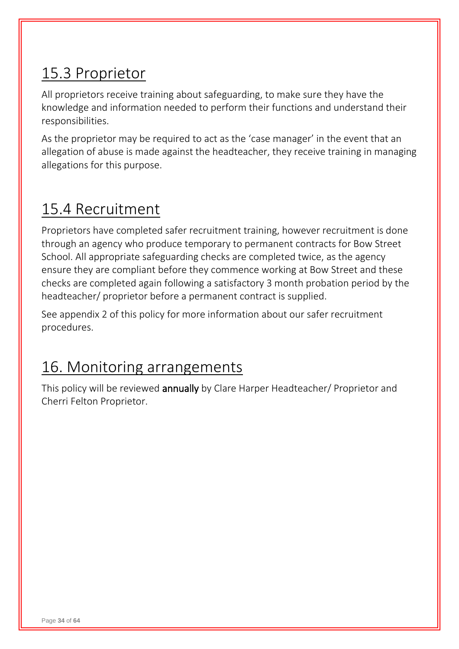### 15.3 Proprietor

All proprietors receive training about safeguarding, to make sure they have the knowledge and information needed to perform their functions and understand their responsibilities.

As the proprietor may be required to act as the 'case manager' in the event that an allegation of abuse is made against the headteacher, they receive training in managing allegations for this purpose.

# 15.4 Recruitment

Proprietors have completed safer recruitment training, however recruitment is done through an agency who produce temporary to permanent contracts for Bow Street School. All appropriate safeguarding checks are completed twice, as the agency ensure they are compliant before they commence working at Bow Street and these checks are completed again following a satisfactory 3 month probation period by the headteacher/ proprietor before a permanent contract is supplied.

See appendix 2 of this policy for more information about our safer recruitment procedures.

### <span id="page-33-0"></span>16. Monitoring arrangements

This policy will be reviewed annually by Clare Harper Headteacher/ Proprietor and Cherri Felton Proprietor.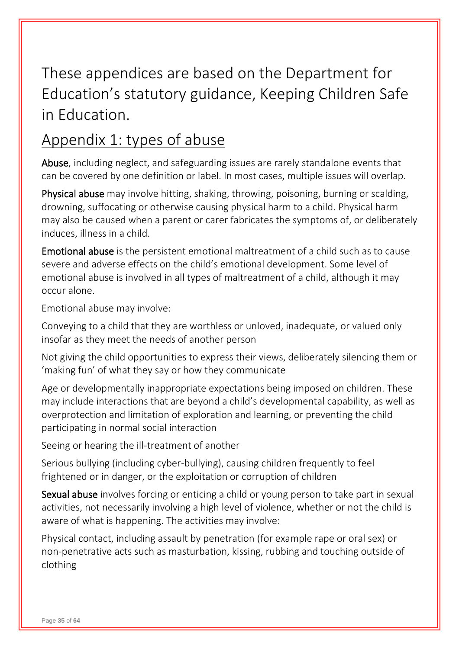These appendices are based on the Department for Education's statutory guidance, Keeping Children Safe in Education.

#### <span id="page-34-0"></span>Appendix 1: types of abuse

Abuse, including neglect, and safeguarding issues are rarely standalone events that can be covered by one definition or label. In most cases, multiple issues will overlap.

Physical abuse may involve hitting, shaking, throwing, poisoning, burning or scalding, drowning, suffocating or otherwise causing physical harm to a child. Physical harm may also be caused when a parent or carer fabricates the symptoms of, or deliberately induces, illness in a child.

Emotional abuse is the persistent emotional maltreatment of a child such as to cause severe and adverse effects on the child's emotional development. Some level of emotional abuse is involved in all types of maltreatment of a child, although it may occur alone.

Emotional abuse may involve:

Conveying to a child that they are worthless or unloved, inadequate, or valued only insofar as they meet the needs of another person

Not giving the child opportunities to express their views, deliberately silencing them or 'making fun' of what they say or how they communicate

Age or developmentally inappropriate expectations being imposed on children. These may include interactions that are beyond a child's developmental capability, as well as overprotection and limitation of exploration and learning, or preventing the child participating in normal social interaction

Seeing or hearing the ill-treatment of another

Serious bullying (including cyber-bullying), causing children frequently to feel frightened or in danger, or the exploitation or corruption of children

Sexual abuse involves forcing or enticing a child or young person to take part in sexual activities, not necessarily involving a high level of violence, whether or not the child is aware of what is happening. The activities may involve:

Physical contact, including assault by penetration (for example rape or oral sex) or non-penetrative acts such as masturbation, kissing, rubbing and touching outside of clothing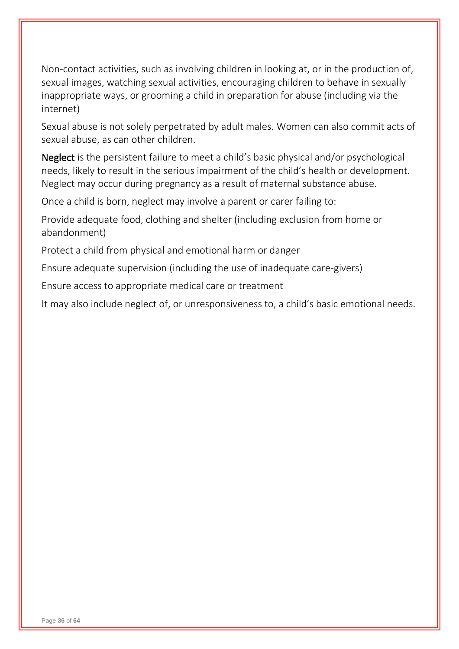Non-contact activities, such as involving children in looking at, or in the production of, sexual images, watching sexual activities, encouraging children to behave in sexually inappropriate ways, or grooming a child in preparation for abuse (including via the internet)

Sexual abuse is not solely perpetrated by adult males. Women can also commit acts of sexual abuse, as can other children.

Neglect is the persistent failure to meet a child's basic physical and/or psychological needs, likely to result in the serious impairment of the child's health or development. Neglect may occur during pregnancy as a result of maternal substance abuse.

Once a child is born, neglect may involve a parent or carer failing to:

Provide adequate food, clothing and shelter (including exclusion from home or abandonment)

Protect a child from physical and emotional harm or danger

Ensure adequate supervision (including the use of inadequate care-givers)

Ensure access to appropriate medical care or treatment

It may also include neglect of, or unresponsiveness to, a child's basic emotional needs.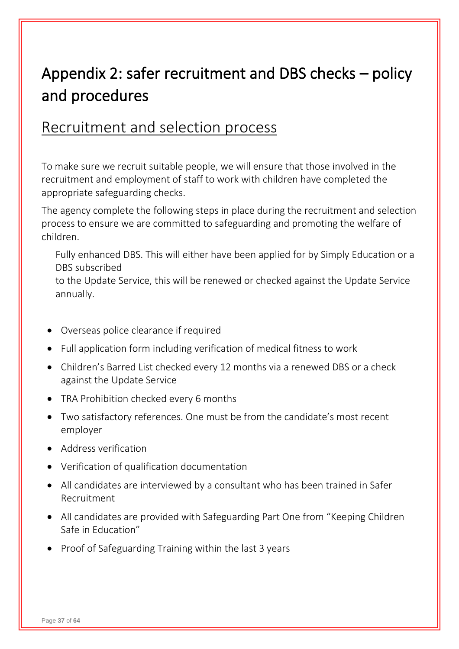# <span id="page-36-0"></span>Appendix 2: safer recruitment and DBS checks – policy and procedures

#### Recruitment and selection process

To make sure we recruit suitable people, we will ensure that those involved in the recruitment and employment of staff to work with children have completed the appropriate safeguarding checks.

The agency complete the following steps in place during the recruitment and selection process to ensure we are committed to safeguarding and promoting the welfare of children.

Fully enhanced DBS. This will either have been applied for by Simply Education or a DBS subscribed

to the Update Service, this will be renewed or checked against the Update Service annually.

- Overseas police clearance if required
- Full application form including verification of medical fitness to work
- Children's Barred List checked every 12 months via a renewed DBS or a check against the Update Service
- TRA Prohibition checked every 6 months
- Two satisfactory references. One must be from the candidate's most recent employer
- Address verification
- Verification of qualification documentation
- All candidates are interviewed by a consultant who has been trained in Safer Recruitment
- All candidates are provided with Safeguarding Part One from "Keeping Children Safe in Education"
- Proof of Safeguarding Training within the last 3 years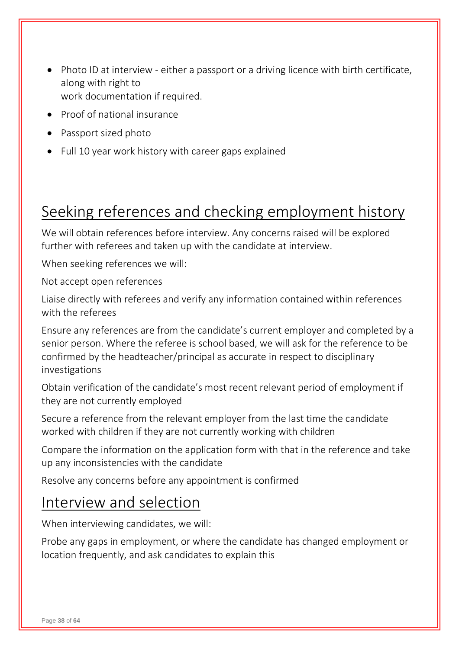- Photo ID at interview either a passport or a driving licence with birth certificate, along with right to work documentation if required.
- Proof of national insurance
- Passport sized photo
- Full 10 year work history with career gaps explained

### Seeking references and checking employment history

We will obtain references before interview. Any concerns raised will be explored further with referees and taken up with the candidate at interview.

When seeking references we will:

Not accept open references

Liaise directly with referees and verify any information contained within references with the referees

Ensure any references are from the candidate's current employer and completed by a senior person. Where the referee is school based, we will ask for the reference to be confirmed by the headteacher/principal as accurate in respect to disciplinary investigations

Obtain verification of the candidate's most recent relevant period of employment if they are not currently employed

Secure a reference from the relevant employer from the last time the candidate worked with children if they are not currently working with children

Compare the information on the application form with that in the reference and take up any inconsistencies with the candidate

Resolve any concerns before any appointment is confirmed

#### Interview and selection

When interviewing candidates, we will:

Probe any gaps in employment, or where the candidate has changed employment or location frequently, and ask candidates to explain this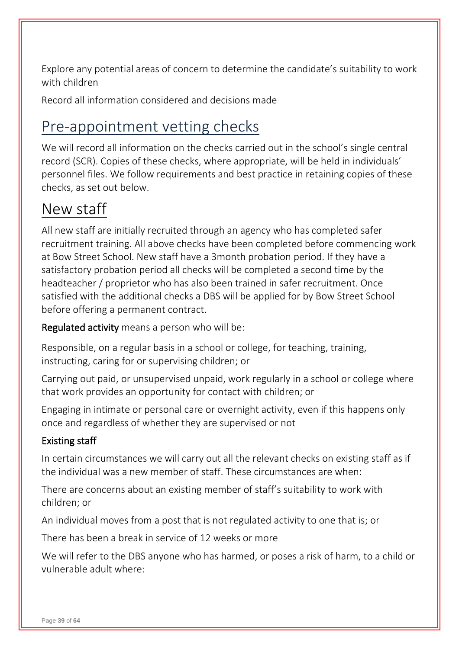Explore any potential areas of concern to determine the candidate's suitability to work with children

Record all information considered and decisions made

# Pre-appointment vetting checks

We will record all information on the checks carried out in the school's single central record (SCR). Copies of these checks, where appropriate, will be held in individuals' personnel files. We follow requirements and best practice in retaining copies of these checks, as set out below.

#### New staff

All new staff are initially recruited through an agency who has completed safer recruitment training. All above checks have been completed before commencing work at Bow Street School. New staff have a 3month probation period. If they have a satisfactory probation period all checks will be completed a second time by the headteacher / proprietor who has also been trained in safer recruitment. Once satisfied with the additional checks a DBS will be applied for by Bow Street School before offering a permanent contract.

Regulated activity means a person who will be:

Responsible, on a regular basis in a school or college, for teaching, training, instructing, caring for or supervising children; or

Carrying out paid, or unsupervised unpaid, work regularly in a school or college where that work provides an opportunity for contact with children; or

Engaging in intimate or personal care or overnight activity, even if this happens only once and regardless of whether they are supervised or not

#### Existing staff

In certain circumstances we will carry out all the relevant checks on existing staff as if the individual was a new member of staff. These circumstances are when:

There are concerns about an existing member of staff's suitability to work with children; or

An individual moves from a post that is not regulated activity to one that is; or

There has been a break in service of 12 weeks or more

We will refer to the DBS anyone who has harmed, or poses a risk of harm, to a child or vulnerable adult where: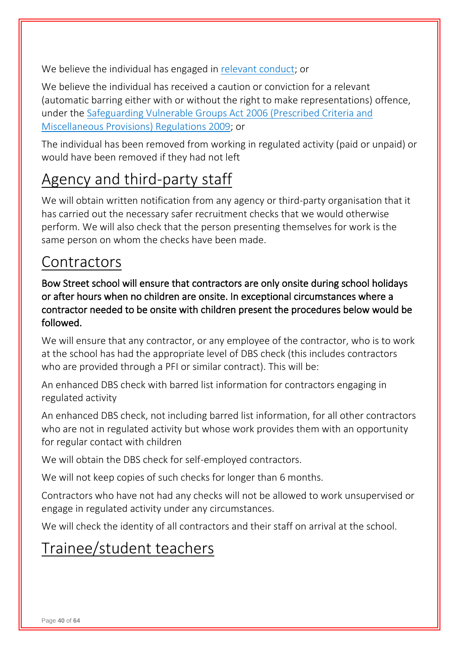We believe the individual has engaged in [relevant conduct;](https://www.gov.uk/guidance/making-barring-referrals-to-the-dbs#relevant-conduct-in-relation-to-children) or

We believe the individual has received a caution or conviction for a relevant (automatic barring either with or without the right to make representations) offence, under the [Safeguarding Vulnerable Groups Act 2006 \(Prescribed Criteria and](http://www.legislation.gov.uk/uksi/2009/37/contents/made)  [Miscellaneous Provisions\) Regulations 2009;](http://www.legislation.gov.uk/uksi/2009/37/contents/made) or

The individual has been removed from working in regulated activity (paid or unpaid) or would have been removed if they had not left

### Agency and third-party staff

We will obtain written notification from any agency or third-party organisation that it has carried out the necessary safer recruitment checks that we would otherwise perform. We will also check that the person presenting themselves for work is the same person on whom the checks have been made.

#### **Contractors**

Bow Street school will ensure that contractors are only onsite during school holidays or after hours when no children are onsite. In exceptional circumstances where a contractor needed to be onsite with children present the procedures below would be followed.

We will ensure that any contractor, or any employee of the contractor, who is to work at the school has had the appropriate level of DBS check (this includes contractors who are provided through a PFI or similar contract). This will be:

An enhanced DBS check with barred list information for contractors engaging in regulated activity

An enhanced DBS check, not including barred list information, for all other contractors who are not in regulated activity but whose work provides them with an opportunity for regular contact with children

We will obtain the DBS check for self-employed contractors.

We will not keep copies of such checks for longer than 6 months.

Contractors who have not had any checks will not be allowed to work unsupervised or engage in regulated activity under any circumstances.

We will check the identity of all contractors and their staff on arrival at the school.

# Trainee/student teachers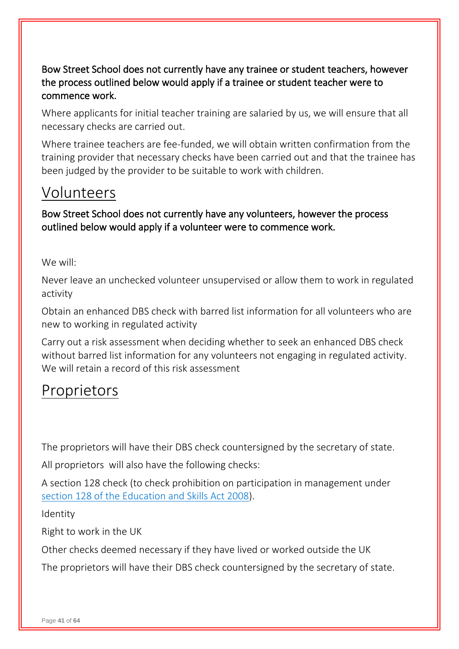Bow Street School does not currently have any trainee or student teachers, however the process outlined below would apply if a trainee or student teacher were to commence work.

Where applicants for initial teacher training are salaried by us, we will ensure that all necessary checks are carried out.

Where trainee teachers are fee-funded, we will obtain written confirmation from the training provider that necessary checks have been carried out and that the trainee has been judged by the provider to be suitable to work with children.

#### Volunteers

Bow Street School does not currently have any volunteers, however the process outlined below would apply if a volunteer were to commence work.

We will:

Never leave an unchecked volunteer unsupervised or allow them to work in regulated activity

Obtain an enhanced DBS check with barred list information for all volunteers who are new to working in regulated activity

Carry out a risk assessment when deciding whether to seek an enhanced DBS check without barred list information for any volunteers not engaging in regulated activity. We will retain a record of this risk assessment

#### Proprietors

The proprietors will have their DBS check countersigned by the secretary of state.

All proprietors will also have the following checks:

A section 128 check (to check prohibition on participation in management under [section 128 of the Education and Skills Act 2008\)](https://www.legislation.gov.uk/ukpga/2008/25/section/128).

Identity

Right to work in the UK

Other checks deemed necessary if they have lived or worked outside the UK

The proprietors will have their DBS check countersigned by the secretary of state.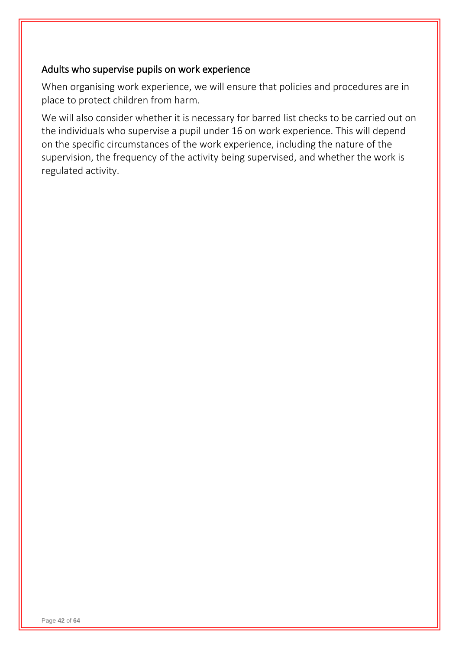#### Adults who supervise pupils on work experience

When organising work experience, we will ensure that policies and procedures are in place to protect children from harm.

We will also consider whether it is necessary for barred list checks to be carried out on the individuals who supervise a pupil under 16 on work experience. This will depend on the specific circumstances of the work experience, including the nature of the supervision, the frequency of the activity being supervised, and whether the work is regulated activity.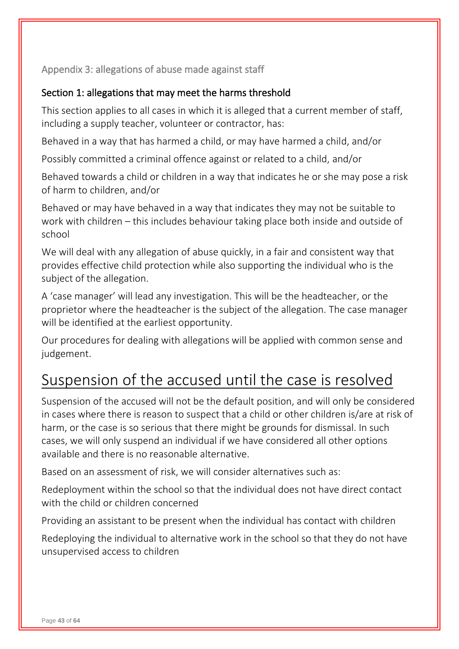<span id="page-42-0"></span>Appendix 3: allegations of abuse made against staff

#### Section 1: allegations that may meet the harms threshold

This section applies to all cases in which it is alleged that a current member of staff, including a supply teacher, volunteer or contractor, has:

Behaved in a way that has harmed a child, or may have harmed a child, and/or

Possibly committed a criminal offence against or related to a child, and/or

Behaved towards a child or children in a way that indicates he or she may pose a risk of harm to children, and/or

Behaved or may have behaved in a way that indicates they may not be suitable to work with children – this includes behaviour taking place both inside and outside of school

We will deal with any allegation of abuse quickly, in a fair and consistent way that provides effective child protection while also supporting the individual who is the subject of the allegation.

A 'case manager' will lead any investigation. This will be the headteacher, or the proprietor where the headteacher is the subject of the allegation. The case manager will be identified at the earliest opportunity.

Our procedures for dealing with allegations will be applied with common sense and judgement.

# Suspension of the accused until the case is resolved

Suspension of the accused will not be the default position, and will only be considered in cases where there is reason to suspect that a child or other children is/are at risk of harm, or the case is so serious that there might be grounds for dismissal. In such cases, we will only suspend an individual if we have considered all other options available and there is no reasonable alternative.

Based on an assessment of risk, we will consider alternatives such as:

Redeployment within the school so that the individual does not have direct contact with the child or children concerned

Providing an assistant to be present when the individual has contact with children

Redeploying the individual to alternative work in the school so that they do not have unsupervised access to children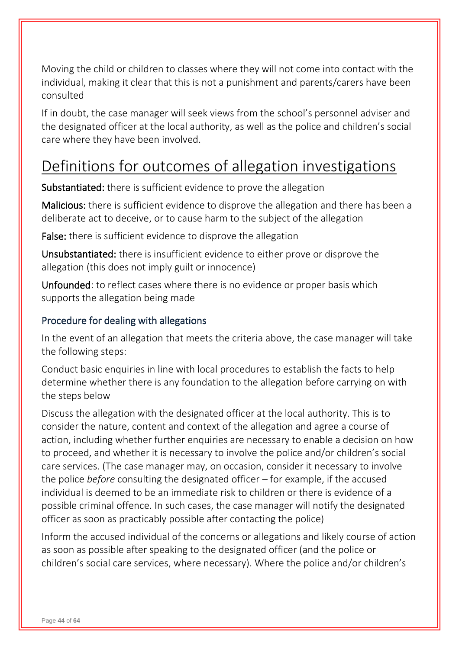Moving the child or children to classes where they will not come into contact with the individual, making it clear that this is not a punishment and parents/carers have been consulted

If in doubt, the case manager will seek views from the school's personnel adviser and the designated officer at the local authority, as well as the police and children's social care where they have been involved.

#### Definitions for outcomes of allegation investigations

Substantiated: there is sufficient evidence to prove the allegation

Malicious: there is sufficient evidence to disprove the allegation and there has been a deliberate act to deceive, or to cause harm to the subject of the allegation

False: there is sufficient evidence to disprove the allegation

Unsubstantiated: there is insufficient evidence to either prove or disprove the allegation (this does not imply guilt or innocence)

Unfounded: to reflect cases where there is no evidence or proper basis which supports the allegation being made

#### Procedure for dealing with allegations

In the event of an allegation that meets the criteria above, the case manager will take the following steps:

Conduct basic enquiries in line with local procedures to establish the facts to help determine whether there is any foundation to the allegation before carrying on with the steps below

Discuss the allegation with the designated officer at the local authority. This is to consider the nature, content and context of the allegation and agree a course of action, including whether further enquiries are necessary to enable a decision on how to proceed, and whether it is necessary to involve the police and/or children's social care services. (The case manager may, on occasion, consider it necessary to involve the police *before* consulting the designated officer – for example, if the accused individual is deemed to be an immediate risk to children or there is evidence of a possible criminal offence. In such cases, the case manager will notify the designated officer as soon as practicably possible after contacting the police)

Inform the accused individual of the concerns or allegations and likely course of action as soon as possible after speaking to the designated officer (and the police or children's social care services, where necessary). Where the police and/or children's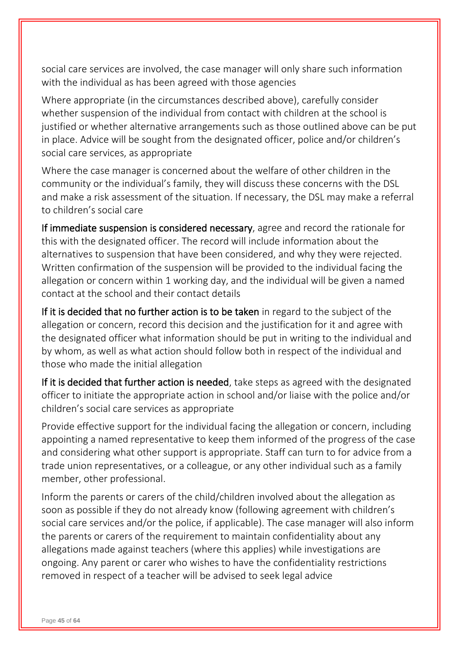social care services are involved, the case manager will only share such information with the individual as has been agreed with those agencies

Where appropriate (in the circumstances described above), carefully consider whether suspension of the individual from contact with children at the school is justified or whether alternative arrangements such as those outlined above can be put in place. Advice will be sought from the designated officer, police and/or children's social care services, as appropriate

Where the case manager is concerned about the welfare of other children in the community or the individual's family, they will discuss these concerns with the DSL and make a risk assessment of the situation. If necessary, the DSL may make a referral to children's social care

If immediate suspension is considered necessary, agree and record the rationale for this with the designated officer. The record will include information about the alternatives to suspension that have been considered, and why they were rejected. Written confirmation of the suspension will be provided to the individual facing the allegation or concern within 1 working day, and the individual will be given a named contact at the school and their contact details

If it is decided that no further action is to be taken in regard to the subject of the allegation or concern, record this decision and the justification for it and agree with the designated officer what information should be put in writing to the individual and by whom, as well as what action should follow both in respect of the individual and those who made the initial allegation

If it is decided that further action is needed, take steps as agreed with the designated officer to initiate the appropriate action in school and/or liaise with the police and/or children's social care services as appropriate

Provide effective support for the individual facing the allegation or concern, including appointing a named representative to keep them informed of the progress of the case and considering what other support is appropriate. Staff can turn to for advice from a trade union representatives, or a colleague, or any other individual such as a family member, other professional.

Inform the parents or carers of the child/children involved about the allegation as soon as possible if they do not already know (following agreement with children's social care services and/or the police, if applicable). The case manager will also inform the parents or carers of the requirement to maintain confidentiality about any allegations made against teachers (where this applies) while investigations are ongoing. Any parent or carer who wishes to have the confidentiality restrictions removed in respect of a teacher will be advised to seek legal advice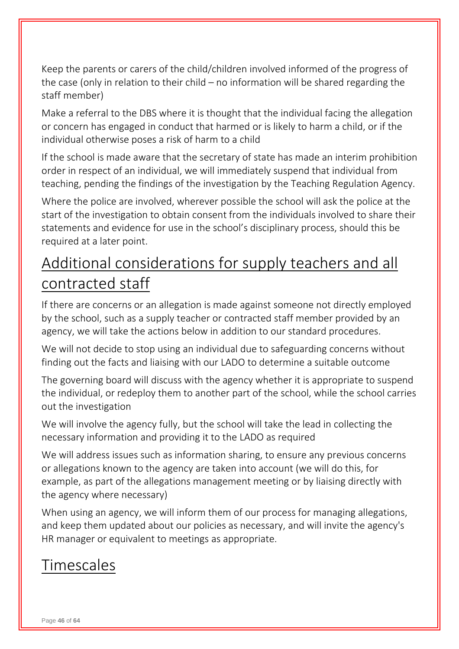Keep the parents or carers of the child/children involved informed of the progress of the case (only in relation to their child – no information will be shared regarding the staff member)

Make a referral to the DBS where it is thought that the individual facing the allegation or concern has engaged in conduct that harmed or is likely to harm a child, or if the individual otherwise poses a risk of harm to a child

If the school is made aware that the secretary of state has made an interim prohibition order in respect of an individual, we will immediately suspend that individual from teaching, pending the findings of the investigation by the Teaching Regulation Agency.

Where the police are involved, wherever possible the school will ask the police at the start of the investigation to obtain consent from the individuals involved to share their statements and evidence for use in the school's disciplinary process, should this be required at a later point.

# Additional considerations for supply teachers and all contracted staff

If there are concerns or an allegation is made against someone not directly employed by the school, such as a supply teacher or contracted staff member provided by an agency, we will take the actions below in addition to our standard procedures.

We will not decide to stop using an individual due to safeguarding concerns without finding out the facts and liaising with our LADO to determine a suitable outcome

The governing board will discuss with the agency whether it is appropriate to suspend the individual, or redeploy them to another part of the school, while the school carries out the investigation

We will involve the agency fully, but the school will take the lead in collecting the necessary information and providing it to the LADO as required

We will address issues such as information sharing, to ensure any previous concerns or allegations known to the agency are taken into account (we will do this, for example, as part of the allegations management meeting or by liaising directly with the agency where necessary)

When using an agency, we will inform them of our process for managing allegations, and keep them updated about our policies as necessary, and will invite the agency's HR manager or equivalent to meetings as appropriate.

### **Timescales**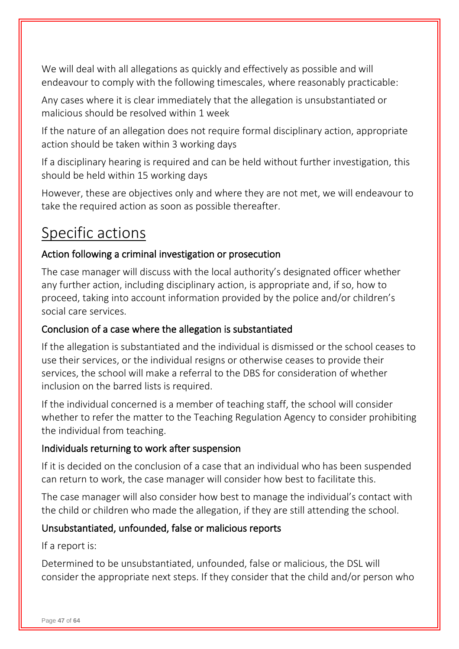We will deal with all allegations as quickly and effectively as possible and will endeavour to comply with the following timescales, where reasonably practicable:

Any cases where it is clear immediately that the allegation is unsubstantiated or malicious should be resolved within 1 week

If the nature of an allegation does not require formal disciplinary action, appropriate action should be taken within 3 working days

If a disciplinary hearing is required and can be held without further investigation, this should be held within 15 working days

However, these are objectives only and where they are not met, we will endeavour to take the required action as soon as possible thereafter.

# Specific actions

#### Action following a criminal investigation or prosecution

The case manager will discuss with the local authority's designated officer whether any further action, including disciplinary action, is appropriate and, if so, how to proceed, taking into account information provided by the police and/or children's social care services.

#### Conclusion of a case where the allegation is substantiated

If the allegation is substantiated and the individual is dismissed or the school ceases to use their services, or the individual resigns or otherwise ceases to provide their services, the school will make a referral to the DBS for consideration of whether inclusion on the barred lists is required.

If the individual concerned is a member of teaching staff, the school will consider whether to refer the matter to the Teaching Regulation Agency to consider prohibiting the individual from teaching.

#### Individuals returning to work after suspension

If it is decided on the conclusion of a case that an individual who has been suspended can return to work, the case manager will consider how best to facilitate this.

The case manager will also consider how best to manage the individual's contact with the child or children who made the allegation, if they are still attending the school.

#### Unsubstantiated, unfounded, false or malicious reports

If a report is:

Determined to be unsubstantiated, unfounded, false or malicious, the DSL will consider the appropriate next steps. If they consider that the child and/or person who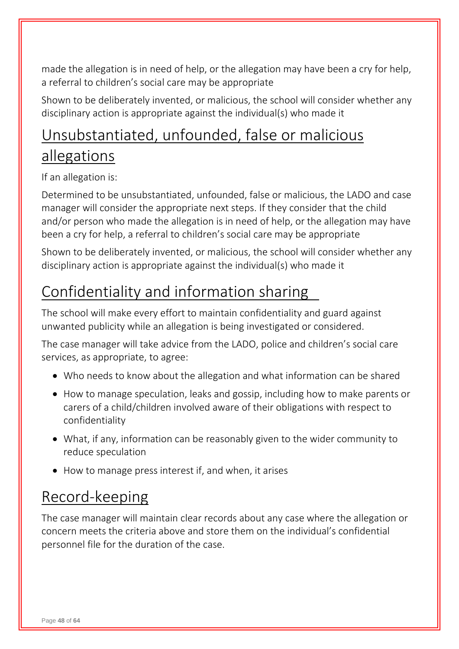made the allegation is in need of help, or the allegation may have been a cry for help, a referral to children's social care may be appropriate

Shown to be deliberately invented, or malicious, the school will consider whether any disciplinary action is appropriate against the individual(s) who made it

# Unsubstantiated, unfounded, false or malicious allegations

If an allegation is:

Determined to be unsubstantiated, unfounded, false or malicious, the LADO and case manager will consider the appropriate next steps. If they consider that the child and/or person who made the allegation is in need of help, or the allegation may have been a cry for help, a referral to children's social care may be appropriate

Shown to be deliberately invented, or malicious, the school will consider whether any disciplinary action is appropriate against the individual(s) who made it

# Confidentiality and information sharing

The school will make every effort to maintain confidentiality and guard against unwanted publicity while an allegation is being investigated or considered.

The case manager will take advice from the LADO, police and children's social care services, as appropriate, to agree:

- Who needs to know about the allegation and what information can be shared
- How to manage speculation, leaks and gossip, including how to make parents or carers of a child/children involved aware of their obligations with respect to confidentiality
- What, if any, information can be reasonably given to the wider community to reduce speculation
- How to manage press interest if, and when, it arises

### Record-keeping

The case manager will maintain clear records about any case where the allegation or concern meets the criteria above and store them on the individual's confidential personnel file for the duration of the case.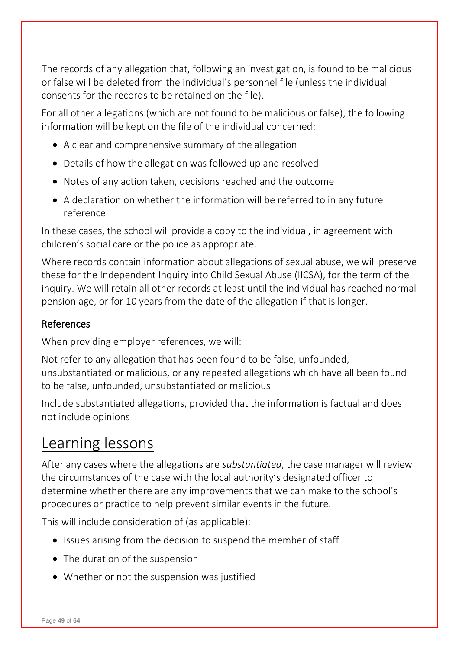The records of any allegation that, following an investigation, is found to be malicious or false will be deleted from the individual's personnel file (unless the individual consents for the records to be retained on the file).

For all other allegations (which are not found to be malicious or false), the following information will be kept on the file of the individual concerned:

- A clear and comprehensive summary of the allegation
- Details of how the allegation was followed up and resolved
- Notes of any action taken, decisions reached and the outcome
- A declaration on whether the information will be referred to in any future reference

In these cases, the school will provide a copy to the individual, in agreement with children's social care or the police as appropriate.

Where records contain information about allegations of sexual abuse, we will preserve these for the Independent Inquiry into Child Sexual Abuse (IICSA), for the term of the inquiry. We will retain all other records at least until the individual has reached normal pension age, or for 10 years from the date of the allegation if that is longer.

#### References

When providing employer references, we will:

Not refer to any allegation that has been found to be false, unfounded, unsubstantiated or malicious, or any repeated allegations which have all been found to be false, unfounded, unsubstantiated or malicious

Include substantiated allegations, provided that the information is factual and does not include opinions

### Learning lessons

After any cases where the allegations are *substantiated*, the case manager will review the circumstances of the case with the local authority's designated officer to determine whether there are any improvements that we can make to the school's procedures or practice to help prevent similar events in the future.

This will include consideration of (as applicable):

- Issues arising from the decision to suspend the member of staff
- The duration of the suspension
- Whether or not the suspension was justified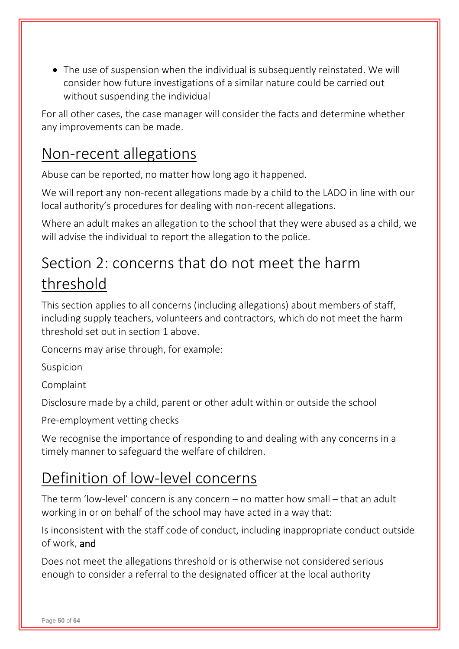• The use of suspension when the individual is subsequently reinstated. We will consider how future investigations of a similar nature could be carried out without suspending the individual

For all other cases, the case manager will consider the facts and determine whether any improvements can be made.

#### Non-recent allegations

Abuse can be reported, no matter how long ago it happened.

We will report any non-recent allegations made by a child to the LADO in line with our local authority's procedures for dealing with non-recent allegations.

Where an adult makes an allegation to the school that they were abused as a child, we will advise the individual to report the allegation to the police.

# Section 2: concerns that do not meet the harm threshold

This section applies to all concerns (including allegations) about members of staff, including supply teachers, volunteers and contractors, which do not meet the harm threshold set out in section 1 above.

Concerns may arise through, for example:

Suspicion

Complaint

Disclosure made by a child, parent or other adult within or outside the school

Pre-employment vetting checks

We recognise the importance of responding to and dealing with any concerns in a timely manner to safeguard the welfare of children.

### Definition of low-level concerns

The term 'low-level' concern is any concern  $-$  no matter how small  $-$  that an adult working in or on behalf of the school may have acted in a way that:

Is inconsistent with the staff code of conduct, including inappropriate conduct outside of work, and

Does not meet the allegations threshold or is otherwise not considered serious enough to consider a referral to the designated officer at the local authority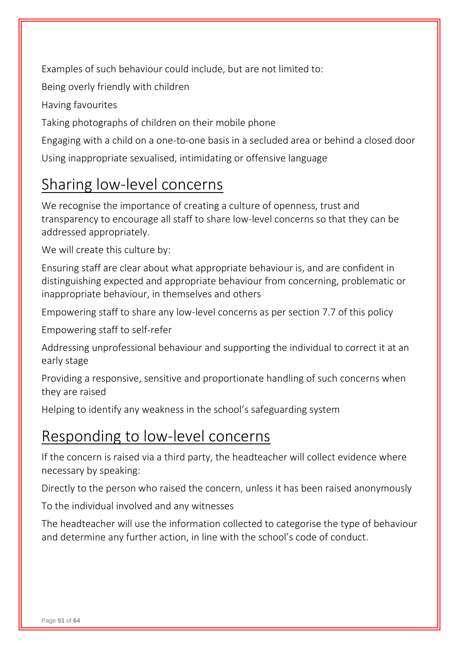Examples of such behaviour could include, but are not limited to:

Being overly friendly with children

Having favourites

Taking photographs of children on their mobile phone

Engaging with a child on a one-to-one basis in a secluded area or behind a closed door

Using inappropriate sexualised, intimidating or offensive language

# Sharing low-level concerns

We recognise the importance of creating a culture of openness, trust and transparency to encourage all staff to share low-level concerns so that they can be addressed appropriately.

We will create this culture by:

Ensuring staff are clear about what appropriate behaviour is, and are confident in distinguishing expected and appropriate behaviour from concerning, problematic or inappropriate behaviour, in themselves and others

Empowering staff to share any low-level concerns as per section 7.7 of this policy

Empowering staff to self-refer

Addressing unprofessional behaviour and supporting the individual to correct it at an early stage

Providing a responsive, sensitive and proportionate handling of such concerns when they are raised

Helping to identify any weakness in the school's safeguarding system

#### Responding to low-level concerns

If the concern is raised via a third party, the headteacher will collect evidence where necessary by speaking:

Directly to the person who raised the concern, unless it has been raised anonymously

To the individual involved and any witnesses

The headteacher will use the information collected to categorise the type of behaviour and determine any further action, in line with the school's code of conduct.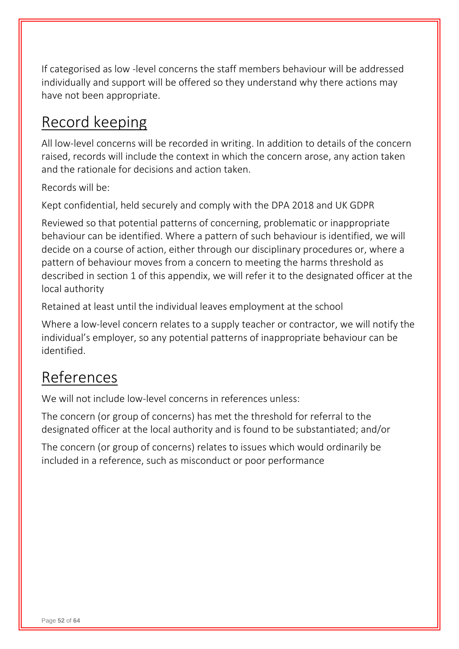If categorised as low -level concerns the staff members behaviour will be addressed individually and support will be offered so they understand why there actions may have not been appropriate.

# Record keeping

All low-level concerns will be recorded in writing. In addition to details of the concern raised, records will include the context in which the concern arose, any action taken and the rationale for decisions and action taken.

Records will be:

Kept confidential, held securely and comply with the DPA 2018 and UK GDPR

Reviewed so that potential patterns of concerning, problematic or inappropriate behaviour can be identified. Where a pattern of such behaviour is identified, we will decide on a course of action, either through our disciplinary procedures or, where a pattern of behaviour moves from a concern to meeting the harms threshold as described in section 1 of this appendix, we will refer it to the designated officer at the local authority

Retained at least until the individual leaves employment at the school

Where a low-level concern relates to a supply teacher or contractor, we will notify the individual's employer, so any potential patterns of inappropriate behaviour can be identified.

# References

We will not include low-level concerns in references unless:

The concern (or group of concerns) has met the threshold for referral to the designated officer at the local authority and is found to be substantiated; and/or

The concern (or group of concerns) relates to issues which would ordinarily be included in a reference, such as misconduct or poor performance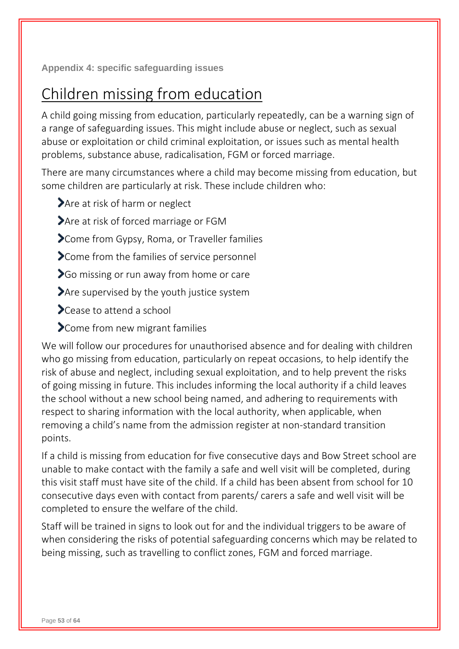<span id="page-52-0"></span>**Appendix 4: specific safeguarding issues**

#### Children missing from education

A child going missing from education, particularly repeatedly, can be a warning sign of a range of safeguarding issues. This might include abuse or neglect, such as sexual abuse or exploitation or child criminal exploitation, or issues such as mental health problems, substance abuse, radicalisation, FGM or forced marriage.

There are many circumstances where a child may become missing from education, but some children are particularly at risk. These include children who:

Are at risk of harm or neglect

Are at risk of forced marriage or FGM

**>** Come from Gypsy, Roma, or Traveller families

**>** Come from the families of service personnel

**>**Go missing or run away from home or care

Are supervised by the youth justice system

**Cease to attend a school** 

**>** Come from new migrant families

We will follow our procedures for unauthorised absence and for dealing with children who go missing from education, particularly on repeat occasions, to help identify the risk of abuse and neglect, including sexual exploitation, and to help prevent the risks of going missing in future. This includes informing the local authority if a child leaves the school without a new school being named, and adhering to requirements with respect to sharing information with the local authority, when applicable, when removing a child's name from the admission register at non-standard transition points.

If a child is missing from education for five consecutive days and Bow Street school are unable to make contact with the family a safe and well visit will be completed, during this visit staff must have site of the child. If a child has been absent from school for 10 consecutive days even with contact from parents/ carers a safe and well visit will be completed to ensure the welfare of the child.

Staff will be trained in signs to look out for and the individual triggers to be aware of when considering the risks of potential safeguarding concerns which may be related to being missing, such as travelling to conflict zones, FGM and forced marriage.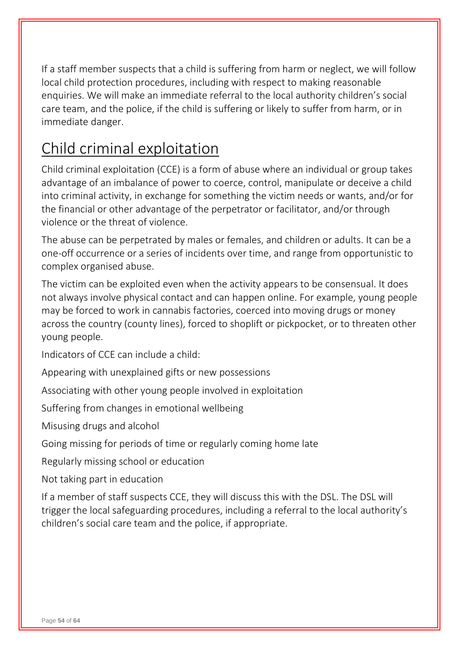If a staff member suspects that a child is suffering from harm or neglect, we will follow local child protection procedures, including with respect to making reasonable enquiries. We will make an immediate referral to the local authority children's social care team, and the police, if the child is suffering or likely to suffer from harm, or in immediate danger.

# Child criminal exploitation

Child criminal exploitation (CCE) is a form of abuse where an individual or group takes advantage of an imbalance of power to coerce, control, manipulate or deceive a child into criminal activity, in exchange for something the victim needs or wants, and/or for the financial or other advantage of the perpetrator or facilitator, and/or through violence or the threat of violence.

The abuse can be perpetrated by males or females, and children or adults. It can be a one-off occurrence or a series of incidents over time, and range from opportunistic to complex organised abuse.

The victim can be exploited even when the activity appears to be consensual. It does not always involve physical contact and can happen online. For example, young people may be forced to work in cannabis factories, coerced into moving drugs or money across the country (county lines), forced to shoplift or pickpocket, or to threaten other young people.

Indicators of CCE can include a child:

Appearing with unexplained gifts or new possessions

Associating with other young people involved in exploitation

Suffering from changes in emotional wellbeing

Misusing drugs and alcohol

Going missing for periods of time or regularly coming home late

Regularly missing school or education

Not taking part in education

If a member of staff suspects CCE, they will discuss this with the DSL. The DSL will trigger the local safeguarding procedures, including a referral to the local authority's children's social care team and the police, if appropriate.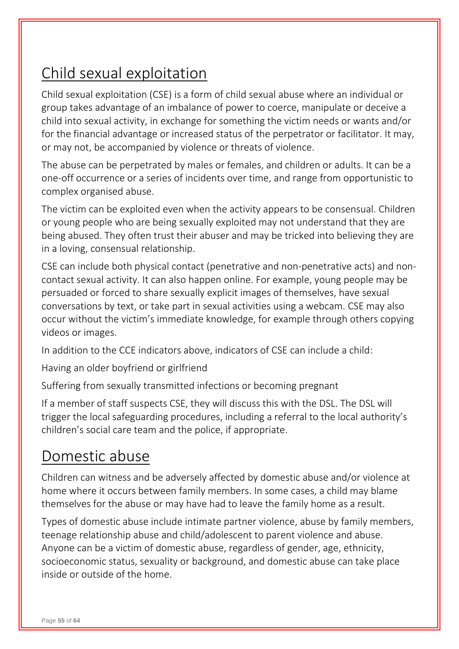### Child sexual exploitation

Child sexual exploitation (CSE) is a form of child sexual abuse where an individual or group takes advantage of an imbalance of power to coerce, manipulate or deceive a child into sexual activity, in exchange for something the victim needs or wants and/or for the financial advantage or increased status of the perpetrator or facilitator. It may, or may not, be accompanied by violence or threats of violence.

The abuse can be perpetrated by males or females, and children or adults. It can be a one-off occurrence or a series of incidents over time, and range from opportunistic to complex organised abuse.

The victim can be exploited even when the activity appears to be consensual. Children or young people who are being sexually exploited may not understand that they are being abused. They often trust their abuser and may be tricked into believing they are in a loving, consensual relationship.

CSE can include both physical contact (penetrative and non-penetrative acts) and noncontact sexual activity. It can also happen online. For example, young people may be persuaded or forced to share sexually explicit images of themselves, have sexual conversations by text, or take part in sexual activities using a webcam. CSE may also occur without the victim's immediate knowledge, for example through others copying videos or images.

In addition to the CCE indicators above, indicators of CSE can include a child:

Having an older boyfriend or girlfriend

Suffering from sexually transmitted infections or becoming pregnant

If a member of staff suspects CSE, they will discuss this with the DSL. The DSL will trigger the local safeguarding procedures, including a referral to the local authority's children's social care team and the police, if appropriate.

#### Domestic abuse

Children can witness and be adversely affected by domestic abuse and/or violence at home where it occurs between family members. In some cases, a child may blame themselves for the abuse or may have had to leave the family home as a result.

Types of domestic abuse include intimate partner violence, abuse by family members, teenage relationship abuse and child/adolescent to parent violence and abuse. Anyone can be a victim of domestic abuse, regardless of gender, age, ethnicity, socioeconomic status, sexuality or background, and domestic abuse can take place inside or outside of the home.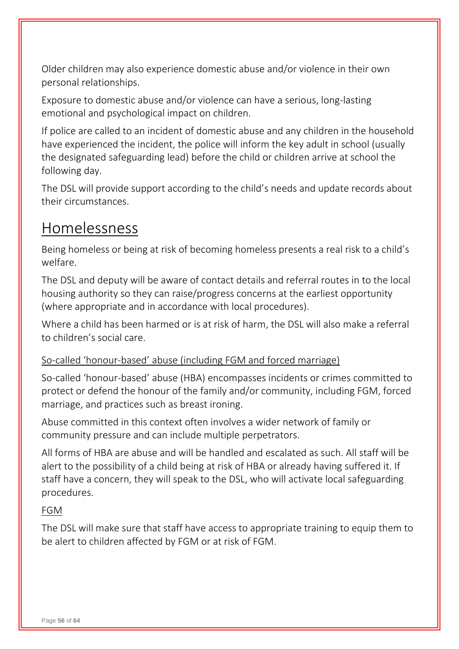Older children may also experience domestic abuse and/or violence in their own personal relationships.

Exposure to domestic abuse and/or violence can have a serious, long-lasting emotional and psychological impact on children.

If police are called to an incident of domestic abuse and any children in the household have experienced the incident, the police will inform the key adult in school (usually the designated safeguarding lead) before the child or children arrive at school the following day.

The DSL will provide support according to the child's needs and update records about their circumstances.

#### Homelessness

Being homeless or being at risk of becoming homeless presents a real risk to a child's welfare.

The DSL and deputy will be aware of contact details and referral routes in to the local housing authority so they can raise/progress concerns at the earliest opportunity (where appropriate and in accordance with local procedures).

Where a child has been harmed or is at risk of harm, the DSL will also make a referral to children's social care.

#### So-called 'honour-based' abuse (including FGM and forced marriage)

So-called 'honour-based' abuse (HBA) encompasses incidents or crimes committed to protect or defend the honour of the family and/or community, including FGM, forced marriage, and practices such as breast ironing.

Abuse committed in this context often involves a wider network of family or community pressure and can include multiple perpetrators.

All forms of HBA are abuse and will be handled and escalated as such. All staff will be alert to the possibility of a child being at risk of HBA or already having suffered it. If staff have a concern, they will speak to the DSL, who will activate local safeguarding procedures.

#### FGM

The DSL will make sure that staff have access to appropriate training to equip them to be alert to children affected by FGM or at risk of FGM.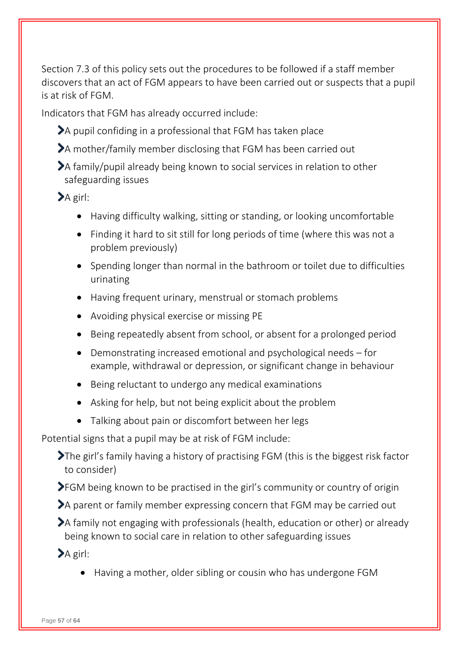Section 7.3 of this policy sets out the procedures to be followed if a staff member discovers that an act of FGM appears to have been carried out or suspects that a pupil is at risk of FGM.

Indicators that FGM has already occurred include:

A pupil confiding in a professional that FGM has taken place

A mother/family member disclosing that FGM has been carried out

A family/pupil already being known to social services in relation to other safeguarding issues

 $\sum A$  girl:

- Having difficulty walking, sitting or standing, or looking uncomfortable
- Finding it hard to sit still for long periods of time (where this was not a problem previously)
- Spending longer than normal in the bathroom or toilet due to difficulties urinating
- Having frequent urinary, menstrual or stomach problems
- Avoiding physical exercise or missing PE
- Being repeatedly absent from school, or absent for a prolonged period
- Demonstrating increased emotional and psychological needs for example, withdrawal or depression, or significant change in behaviour
- Being reluctant to undergo any medical examinations
- Asking for help, but not being explicit about the problem
- Talking about pain or discomfort between her legs

Potential signs that a pupil may be at risk of FGM include:

**The girl's family having a history of practising FGM (this is the biggest risk factor** to consider)

**>FGM** being known to be practised in the girl's community or country of origin

A parent or family member expressing concern that FGM may be carried out

A family not engaging with professionals (health, education or other) or already being known to social care in relation to other safeguarding issues

 $\blacktriangleright$ A girl:

• Having a mother, older sibling or cousin who has undergone FGM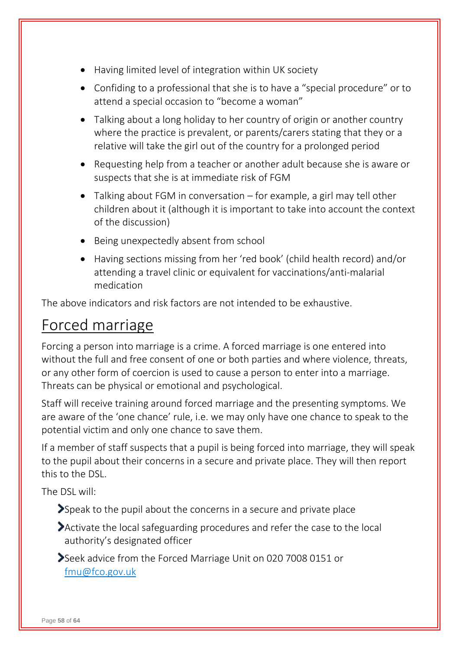- Having limited level of integration within UK society
- Confiding to a professional that she is to have a "special procedure" or to attend a special occasion to "become a woman"
- Talking about a long holiday to her country of origin or another country where the practice is prevalent, or parents/carers stating that they or a relative will take the girl out of the country for a prolonged period
- Requesting help from a teacher or another adult because she is aware or suspects that she is at immediate risk of FGM
- Talking about FGM in conversation for example, a girl may tell other children about it (although it is important to take into account the context of the discussion)
- Being unexpectedly absent from school
- Having sections missing from her 'red book' (child health record) and/or attending a travel clinic or equivalent for vaccinations/anti-malarial medication

The above indicators and risk factors are not intended to be exhaustive.

#### Forced marriage

Forcing a person into marriage is a crime. A forced marriage is one entered into without the full and free consent of one or both parties and where violence, threats, or any other form of coercion is used to cause a person to enter into a marriage. Threats can be physical or emotional and psychological.

Staff will receive training around forced marriage and the presenting symptoms. We are aware of the 'one chance' rule, i.e. we may only have one chance to speak to the potential victim and only one chance to save them.

If a member of staff suspects that a pupil is being forced into marriage, they will speak to the pupil about their concerns in a secure and private place. They will then report this to the DSL.

The DSL will:

Speak to the pupil about the concerns in a secure and private place

Activate the local safeguarding procedures and refer the case to the local authority's designated officer

Seek advice from the Forced Marriage Unit on 020 7008 0151 or [fmu@fco.gov.uk](mailto:fmu@fco.gov.uk)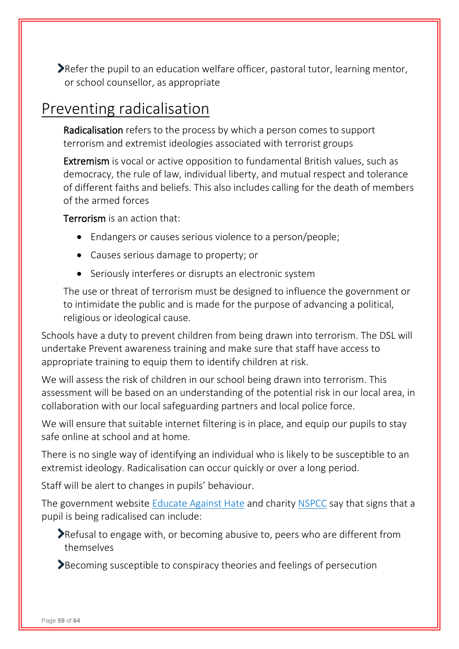Refer the pupil to an education welfare officer, pastoral tutor, learning mentor, or school counsellor, as appropriate

#### Preventing radicalisation

Radicalisation refers to the process by which a person comes to support terrorism and extremist ideologies associated with terrorist groups

Extremism is vocal or active opposition to fundamental British values, such as democracy, the rule of law, individual liberty, and mutual respect and tolerance of different faiths and beliefs. This also includes calling for the death of members of the armed forces

Terrorism is an action that:

- Endangers or causes serious violence to a person/people;
- Causes serious damage to property; or
- Seriously interferes or disrupts an electronic system

The use or threat of terrorism must be designed to influence the government or to intimidate the public and is made for the purpose of advancing a political, religious or ideological cause.

Schools have a duty to prevent children from being drawn into terrorism. The DSL will undertake Prevent awareness training and make sure that staff have access to appropriate training to equip them to identify children at risk.

We will assess the risk of children in our school being drawn into terrorism. This assessment will be based on an understanding of the potential risk in our local area, in collaboration with our local safeguarding partners and local police force.

We will ensure that suitable internet filtering is in place, and equip our pupils to stay safe online at school and at home.

There is no single way of identifying an individual who is likely to be susceptible to an extremist ideology. Radicalisation can occur quickly or over a long period.

Staff will be alert to changes in pupils' behaviour.

The government website [Educate Against Hate](http://educateagainsthate.com/parents/what-are-the-warning-signs/) and charity [NSPCC](https://www.nspcc.org.uk/what-you-can-do/report-abuse/dedicated-helplines/protecting-children-from-radicalisation/) say that signs that a pupil is being radicalised can include:

Refusal to engage with, or becoming abusive to, peers who are different from themselves

Becoming susceptible to conspiracy theories and feelings of persecution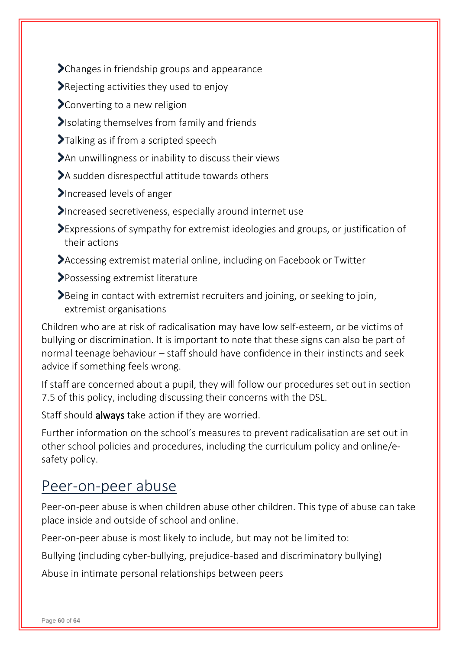**>**Changes in friendship groups and appearance

**>**Rejecting activities they used to enjoy

**>**Converting to a new religion

Isolating themselves from family and friends

**Talking as if from a scripted speech** 

An unwillingness or inability to discuss their views

A sudden disrespectful attitude towards others

Increased levels of anger

Increased secretiveness, especially around internet use

Expressions of sympathy for extremist ideologies and groups, or justification of their actions

Accessing extremist material online, including on Facebook or Twitter

Possessing extremist literature

**>**Being in contact with extremist recruiters and joining, or seeking to join, extremist organisations

Children who are at risk of radicalisation may have low self-esteem, or be victims of bullying or discrimination. It is important to note that these signs can also be part of normal teenage behaviour – staff should have confidence in their instincts and seek advice if something feels wrong.

If staff are concerned about a pupil, they will follow our procedures set out in section 7.5 of this policy, including discussing their concerns with the DSL.

Staff should always take action if they are worried.

Further information on the school's measures to prevent radicalisation are set out in other school policies and procedures, including the curriculum policy and online/esafety policy.

#### Peer-on-peer abuse

Peer-on-peer abuse is when children abuse other children. This type of abuse can take place inside and outside of school and online.

Peer-on-peer abuse is most likely to include, but may not be limited to:

Bullying (including cyber-bullying, prejudice-based and discriminatory bullying)

Abuse in intimate personal relationships between peers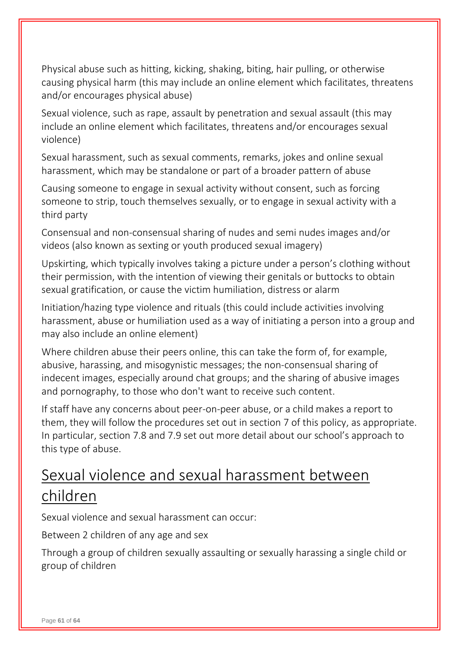Physical abuse such as hitting, kicking, shaking, biting, hair pulling, or otherwise causing physical harm (this may include an online element which facilitates, threatens and/or encourages physical abuse)

Sexual violence, such as rape, assault by penetration and sexual assault (this may include an online element which facilitates, threatens and/or encourages sexual violence)

Sexual harassment, such as sexual comments, remarks, jokes and online sexual harassment, which may be standalone or part of a broader pattern of abuse

Causing someone to engage in sexual activity without consent, such as forcing someone to strip, touch themselves sexually, or to engage in sexual activity with a third party

Consensual and non-consensual sharing of nudes and semi nudes images and/or videos (also known as sexting or youth produced sexual imagery)

Upskirting, which typically involves taking a picture under a person's clothing without their permission, with the intention of viewing their genitals or buttocks to obtain sexual gratification, or cause the victim humiliation, distress or alarm

Initiation/hazing type violence and rituals (this could include activities involving harassment, abuse or humiliation used as a way of initiating a person into a group and may also include an online element)

Where children abuse their peers online, this can take the form of, for example, abusive, harassing, and misogynistic messages; the non-consensual sharing of indecent images, especially around chat groups; and the sharing of abusive images and pornography, to those who don't want to receive such content.

If staff have any concerns about peer-on-peer abuse, or a child makes a report to them, they will follow the procedures set out in section 7 of this policy, as appropriate. In particular, section 7.8 and 7.9 set out more detail about our school's approach to this type of abuse.

# Sexual violence and sexual harassment between children

Sexual violence and sexual harassment can occur:

Between 2 children of any age and sex

Through a group of children sexually assaulting or sexually harassing a single child or group of children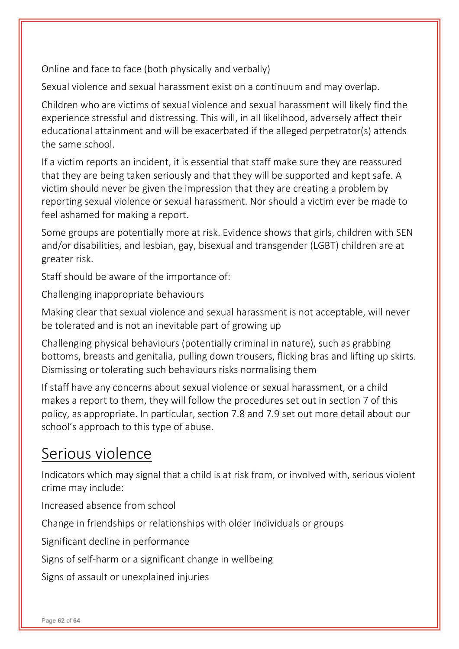Online and face to face (both physically and verbally)

Sexual violence and sexual harassment exist on a continuum and may overlap.

Children who are victims of sexual violence and sexual harassment will likely find the experience stressful and distressing. This will, in all likelihood, adversely affect their educational attainment and will be exacerbated if the alleged perpetrator(s) attends the same school.

If a victim reports an incident, it is essential that staff make sure they are reassured that they are being taken seriously and that they will be supported and kept safe. A victim should never be given the impression that they are creating a problem by reporting sexual violence or sexual harassment. Nor should a victim ever be made to feel ashamed for making a report.

Some groups are potentially more at risk. Evidence shows that girls, children with SEN and/or disabilities, and lesbian, gay, bisexual and transgender (LGBT) children are at greater risk.

Staff should be aware of the importance of:

Challenging inappropriate behaviours

Making clear that sexual violence and sexual harassment is not acceptable, will never be tolerated and is not an inevitable part of growing up

Challenging physical behaviours (potentially criminal in nature), such as grabbing bottoms, breasts and genitalia, pulling down trousers, flicking bras and lifting up skirts. Dismissing or tolerating such behaviours risks normalising them

If staff have any concerns about sexual violence or sexual harassment, or a child makes a report to them, they will follow the procedures set out in section 7 of this policy, as appropriate. In particular, section 7.8 and 7.9 set out more detail about our school's approach to this type of abuse.

#### Serious violence

Indicators which may signal that a child is at risk from, or involved with, serious violent crime may include:

Increased absence from school

Change in friendships or relationships with older individuals or groups

Significant decline in performance

Signs of self-harm or a significant change in wellbeing

Signs of assault or unexplained injuries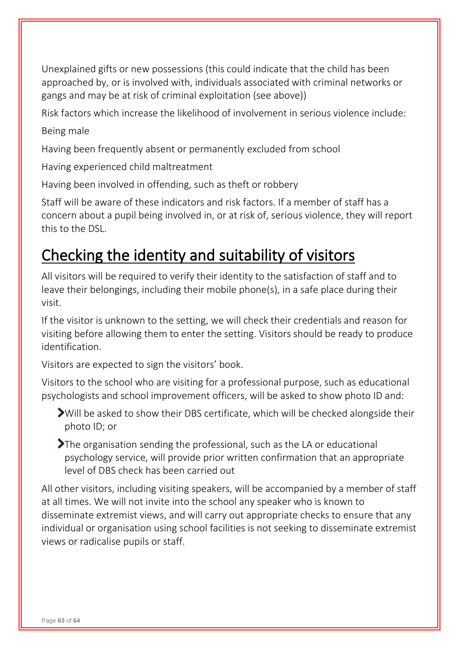Unexplained gifts or new possessions (this could indicate that the child has been approached by, or is involved with, individuals associated with criminal networks or gangs and may be at risk of criminal exploitation (see above))

Risk factors which increase the likelihood of involvement in serious violence include:

#### Being male

Having been frequently absent or permanently excluded from school

Having experienced child maltreatment

Having been involved in offending, such as theft or robbery

Staff will be aware of these indicators and risk factors. If a member of staff has a concern about a pupil being involved in, or at risk of, serious violence, they will report this to the DSL.

# Checking the identity and suitability of visitors

All visitors will be required to verify their identity to the satisfaction of staff and to leave their belongings, including their mobile phone(s), in a safe place during their visit.

If the visitor is unknown to the setting, we will check their credentials and reason for visiting before allowing them to enter the setting. Visitors should be ready to produce identification.

Visitors are expected to sign the visitors' book.

Visitors to the school who are visiting for a professional purpose, such as educational psychologists and school improvement officers, will be asked to show photo ID and:

- Will be asked to show their DBS certificate, which will be checked alongside their photo ID; or
- The organisation sending the professional, such as the LA or educational psychology service, will provide prior written confirmation that an appropriate level of DBS check has been carried out

All other visitors, including visiting speakers, will be accompanied by a member of staff at all times. We will not invite into the school any speaker who is known to disseminate extremist views, and will carry out appropriate checks to ensure that any individual or organisation using school facilities is not seeking to disseminate extremist views or radicalise pupils or staff.